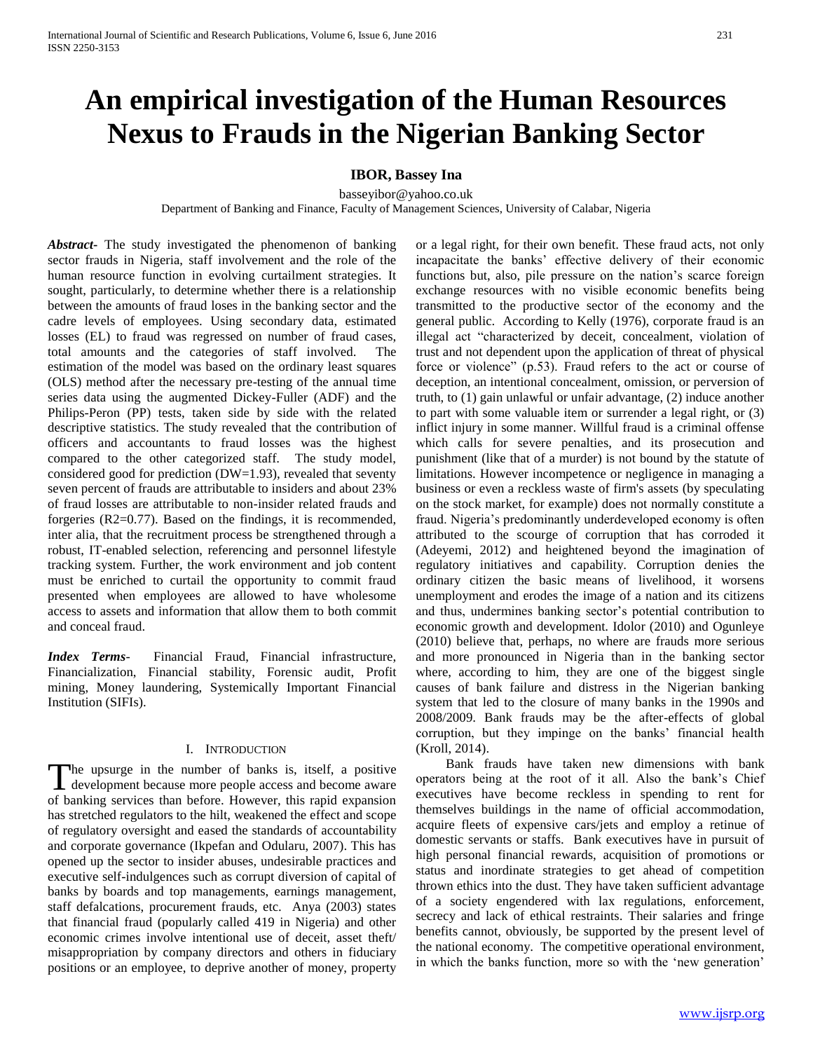# **An empirical investigation of the Human Resources Nexus to Frauds in the Nigerian Banking Sector**

# **IBOR, Bassey Ina**

basseyibor@yahoo.co.uk

Department of Banking and Finance, Faculty of Management Sciences, University of Calabar, Nigeria

*Abstract***-** The study investigated the phenomenon of banking sector frauds in Nigeria, staff involvement and the role of the human resource function in evolving curtailment strategies. It sought, particularly, to determine whether there is a relationship between the amounts of fraud loses in the banking sector and the cadre levels of employees. Using secondary data, estimated losses (EL) to fraud was regressed on number of fraud cases, total amounts and the categories of staff involved. The estimation of the model was based on the ordinary least squares (OLS) method after the necessary pre-testing of the annual time series data using the augmented Dickey-Fuller (ADF) and the Philips-Peron (PP) tests, taken side by side with the related descriptive statistics. The study revealed that the contribution of officers and accountants to fraud losses was the highest compared to the other categorized staff. The study model, considered good for prediction (DW=1.93), revealed that seventy seven percent of frauds are attributable to insiders and about 23% of fraud losses are attributable to non-insider related frauds and forgeries (R2=0.77). Based on the findings, it is recommended, inter alia, that the recruitment process be strengthened through a robust, IT-enabled selection, referencing and personnel lifestyle tracking system. Further, the work environment and job content must be enriched to curtail the opportunity to commit fraud presented when employees are allowed to have wholesome access to assets and information that allow them to both commit and conceal fraud.

*Index Terms*- Financial Fraud, Financial infrastructure, Financialization, Financial stability, Forensic audit, Profit mining, Money laundering, Systemically Important Financial Institution (SIFIs).

#### I. INTRODUCTION

he upsurge in the number of banks is, itself, a positive The upsurge in the number of banks is, itself, a positive development because more people access and become aware of banking services than before. However, this rapid expansion has stretched regulators to the hilt, weakened the effect and scope of regulatory oversight and eased the standards of accountability and corporate governance (Ikpefan and Odularu, 2007). This has opened up the sector to insider abuses, undesirable practices and executive self-indulgences such as corrupt diversion of capital of banks by boards and top managements, earnings management, staff defalcations, procurement frauds, etc. Anya (2003) states that financial fraud (popularly called 419 in Nigeria) and other economic crimes involve intentional use of deceit, asset theft/ misappropriation by company directors and others in fiduciary positions or an employee, to deprive another of money, property

or a legal right, for their own benefit. These fraud acts, not only incapacitate the banks' effective delivery of their economic functions but, also, pile pressure on the nation's scarce foreign exchange resources with no visible economic benefits being transmitted to the productive sector of the economy and the general public. According to Kelly (1976), corporate fraud is an illegal act "characterized by deceit, concealment, violation of trust and not dependent upon the application of threat of physical force or violence" (p.53). Fraud refers to the act or course of deception, an intentional concealment, omission, or perversion of truth, to (1) gain unlawful or unfair advantage, (2) induce another to part with some valuable item or surrender a legal right, or (3) inflict injury in some manner. Willful fraud is a criminal offense which calls for severe penalties, and its prosecution and punishment (like that of a murder) is not bound by the statute of limitations. However incompetence or negligence in managing a business or even a reckless waste of firm's assets (by speculating on the stock market, for example) does not normally constitute a fraud. Nigeria's predominantly underdeveloped economy is often attributed to the scourge of corruption that has corroded it (Adeyemi, 2012) and heightened beyond the imagination of regulatory initiatives and capability. Corruption denies the ordinary citizen the basic means of livelihood, it worsens unemployment and erodes the image of a nation and its citizens and thus, undermines banking sector's potential contribution to economic growth and development. Idolor (2010) and Ogunleye (2010) believe that, perhaps, no where are frauds more serious and more pronounced in Nigeria than in the banking sector where, according to him, they are one of the biggest single causes of bank failure and distress in the Nigerian banking system that led to the closure of many banks in the 1990s and 2008/2009. Bank frauds may be the after-effects of global corruption, but they impinge on the banks' financial health (Kroll, 2014).

 Bank frauds have taken new dimensions with bank operators being at the root of it all. Also the bank's Chief executives have become reckless in spending to rent for themselves buildings in the name of official accommodation, acquire fleets of expensive cars/jets and employ a retinue of domestic servants or staffs. Bank executives have in pursuit of high personal financial rewards, acquisition of promotions or status and inordinate strategies to get ahead of competition thrown ethics into the dust. They have taken sufficient advantage of a society engendered with lax regulations, enforcement, secrecy and lack of ethical restraints. Their salaries and fringe benefits cannot, obviously, be supported by the present level of the national economy. The competitive operational environment, in which the banks function, more so with the 'new generation'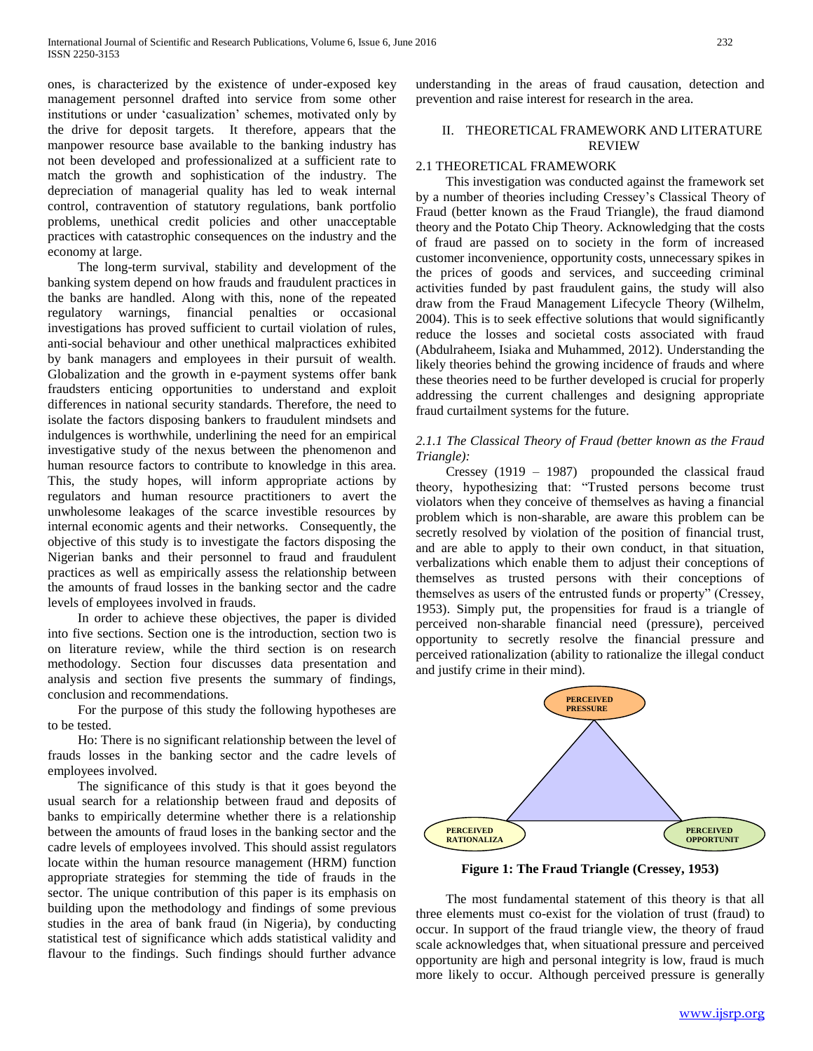ones, is characterized by the existence of under-exposed key management personnel drafted into service from some other institutions or under 'casualization' schemes, motivated only by the drive for deposit targets. It therefore, appears that the manpower resource base available to the banking industry has not been developed and professionalized at a sufficient rate to match the growth and sophistication of the industry. The depreciation of managerial quality has led to weak internal control, contravention of statutory regulations, bank portfolio problems, unethical credit policies and other unacceptable practices with catastrophic consequences on the industry and the economy at large.

 The long-term survival, stability and development of the banking system depend on how frauds and fraudulent practices in the banks are handled. Along with this, none of the repeated regulatory warnings, financial penalties or occasional investigations has proved sufficient to curtail violation of rules, anti-social behaviour and other unethical malpractices exhibited by bank managers and employees in their pursuit of wealth. Globalization and the growth in e-payment systems offer bank fraudsters enticing opportunities to understand and exploit differences in national security standards. Therefore, the need to isolate the factors disposing bankers to fraudulent mindsets and indulgences is worthwhile, underlining the need for an empirical investigative study of the nexus between the phenomenon and human resource factors to contribute to knowledge in this area. This, the study hopes, will inform appropriate actions by regulators and human resource practitioners to avert the unwholesome leakages of the scarce investible resources by internal economic agents and their networks. Consequently, the objective of this study is to investigate the factors disposing the Nigerian banks and their personnel to fraud and fraudulent practices as well as empirically assess the relationship between the amounts of fraud losses in the banking sector and the cadre levels of employees involved in frauds.

 In order to achieve these objectives, the paper is divided into five sections. Section one is the introduction, section two is on literature review, while the third section is on research methodology. Section four discusses data presentation and analysis and section five presents the summary of findings, conclusion and recommendations.

 For the purpose of this study the following hypotheses are to be tested.

 Ho: There is no significant relationship between the level of frauds losses in the banking sector and the cadre levels of employees involved.

 The significance of this study is that it goes beyond the usual search for a relationship between fraud and deposits of banks to empirically determine whether there is a relationship between the amounts of fraud loses in the banking sector and the cadre levels of employees involved. This should assist regulators locate within the human resource management (HRM) function appropriate strategies for stemming the tide of frauds in the sector. The unique contribution of this paper is its emphasis on building upon the methodology and findings of some previous studies in the area of bank fraud (in Nigeria), by conducting statistical test of significance which adds statistical validity and flavour to the findings. Such findings should further advance

understanding in the areas of fraud causation, detection and prevention and raise interest for research in the area.

# II. THEORETICAL FRAMEWORK AND LITERATURE REVIEW

## 2.1 THEORETICAL FRAMEWORK

 This investigation was conducted against the framework set by a number of theories including Cressey's Classical Theory of Fraud (better known as the Fraud Triangle), the fraud diamond theory and the Potato Chip Theory. Acknowledging that the costs of fraud are passed on to society in the form of increased customer inconvenience, opportunity costs, unnecessary spikes in the prices of goods and services, and succeeding criminal activities funded by past fraudulent gains, the study will also draw from the Fraud Management Lifecycle Theory (Wilhelm, 2004). This is to seek effective solutions that would significantly reduce the losses and societal costs associated with fraud (Abdulraheem, Isiaka and Muhammed, 2012). Understanding the likely theories behind the growing incidence of frauds and where these theories need to be further developed is crucial for properly addressing the current challenges and designing appropriate fraud curtailment systems for the future.

## *2.1.1 The Classical Theory of Fraud (better known as the Fraud Triangle):*

 Cressey (1919 – 1987) propounded the classical fraud theory, hypothesizing that: "Trusted persons become trust violators when they conceive of themselves as having a financial problem which is non-sharable, are aware this problem can be secretly resolved by violation of the position of financial trust, and are able to apply to their own conduct, in that situation, verbalizations which enable them to adjust their conceptions of themselves as trusted persons with their conceptions of themselves as users of the entrusted funds or property" (Cressey, 1953). Simply put, the propensities for fraud is a triangle of perceived non-sharable financial need (pressure), perceived opportunity to secretly resolve the financial pressure and perceived rationalization (ability to rationalize the illegal conduct and justify crime in their mind).



**Figure 1: The Fraud Triangle (Cressey, 1953)**

 The most fundamental statement of this theory is that all three elements must co-exist for the violation of trust (fraud) to occur. In support of the fraud triangle view, the theory of fraud scale acknowledges that, when situational pressure and perceived opportunity are high and personal integrity is low, fraud is much more likely to occur. Although perceived pressure is generally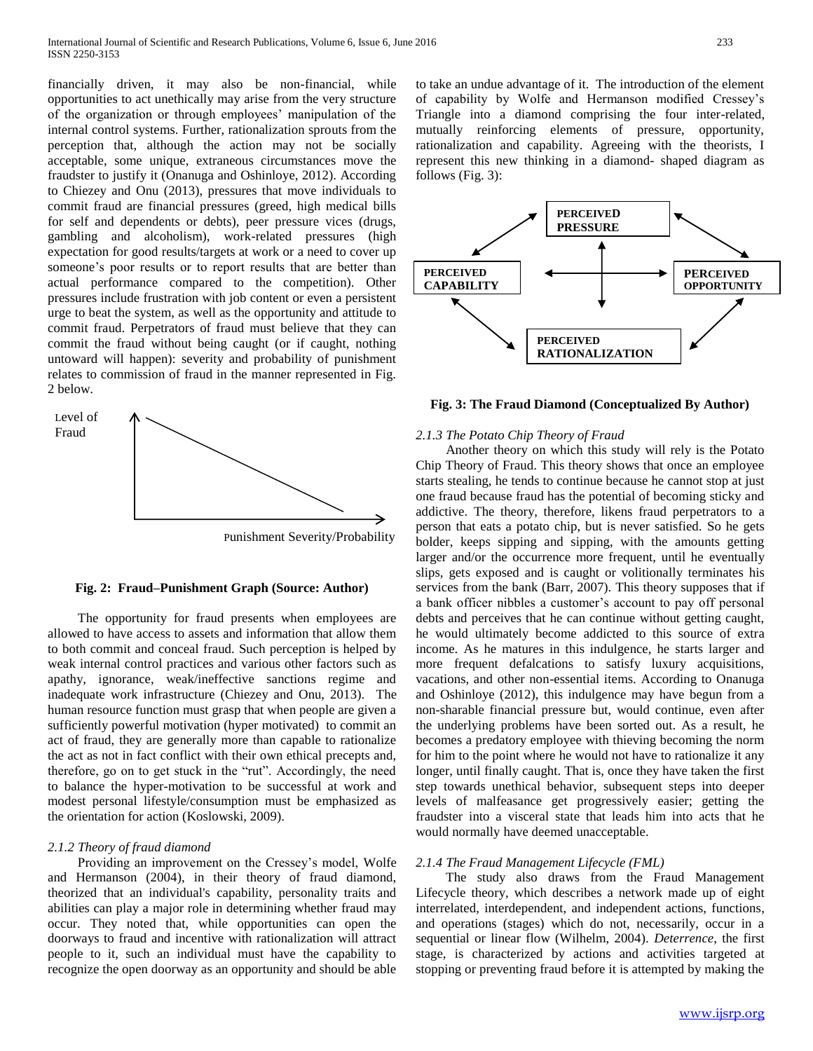financially driven, it may also be non-financial, while opportunities to act unethically may arise from the very structure of the organization or through employees' manipulation of the internal control systems. Further, rationalization sprouts from the perception that, although the action may not be socially acceptable, some unique, extraneous circumstances move the fraudster to justify it (Onanuga and Oshinloye, 2012). According to Chiezey and Onu (2013), pressures that move individuals to commit fraud are financial pressures (greed, high medical bills for self and dependents or debts), peer pressure vices (drugs, gambling and alcoholism), work-related pressures (high expectation for good results/targets at work or a need to cover up someone's poor results or to report results that are better than actual performance compared to the competition). Other pressures include frustration with job content or even a persistent urge to beat the system, as well as the opportunity and attitude to commit fraud. Perpetrators of fraud must believe that they can commit the fraud without being caught (or if caught, nothing untoward will happen): severity and probability of punishment relates to commission of fraud in the manner represented in Fig. 2 below.



Punishment Severity/Probability

#### **Fig. 2: Fraud–Punishment Graph (Source: Author)**

 The opportunity for fraud presents when employees are allowed to have access to assets and information that allow them to both commit and conceal fraud. Such perception is helped by weak internal control practices and various other factors such as apathy, ignorance, weak/ineffective sanctions regime and inadequate work infrastructure (Chiezey and Onu, 2013). The human resource function must grasp that when people are given a sufficiently powerful motivation (hyper motivated) to commit an act of fraud, they are generally more than capable to rationalize the act as not in fact conflict with their own ethical precepts and, therefore, go on to get stuck in the "rut". Accordingly, the need to balance the hyper-motivation to be successful at work and modest personal lifestyle/consumption must be emphasized as the orientation for action (Koslowski, 2009).

#### *2.1.2 Theory of fraud diamond*

 Providing an improvement on the Cressey's model, Wolfe and Hermanson (2004), in their theory of fraud diamond, theorized that an individual's capability, personality traits and abilities can play a major role in determining whether fraud may occur. They noted that, while opportunities can open the doorways to fraud and incentive with rationalization will attract people to it, such an individual must have the capability to recognize the open doorway as an opportunity and should be able to take an undue advantage of it. The introduction of the element of capability by Wolfe and Hermanson modified Cressey's Triangle into a diamond comprising the four inter-related, mutually reinforcing elements of pressure, opportunity, rationalization and capability. Agreeing with the theorists, I represent this new thinking in a diamond- shaped diagram as follows (Fig. 3):



#### **Fig. 3: The Fraud Diamond (Conceptualized By Author)**

# *2.1.3 The Potato Chip Theory of Fraud*

 Another theory on which this study will rely is the Potato Chip Theory of Fraud. This theory shows that once an employee starts stealing, he tends to continue because he cannot stop at just one fraud because fraud has the potential of becoming sticky and addictive. The theory, therefore, likens fraud perpetrators to a person that eats a potato chip, but is never satisfied. So he gets bolder, keeps sipping and sipping, with the amounts getting larger and/or the occurrence more frequent, until he eventually slips, gets exposed and is caught or volitionally terminates his services from the bank (Barr, 2007). This theory supposes that if a bank officer nibbles a customer's account to pay off personal debts and perceives that he can continue without getting caught, he would ultimately become addicted to this source of extra income. As he matures in this indulgence, he starts larger and more frequent defalcations to satisfy luxury acquisitions, vacations, and other non-essential items. According to Onanuga and Oshinloye (2012), this indulgence may have begun from a non-sharable financial pressure but, would continue, even after the underlying problems have been sorted out. As a result, he becomes a predatory employee with thieving becoming the norm for him to the point where he would not have to rationalize it any longer, until finally caught. That is, once they have taken the first step towards unethical behavior, subsequent steps into deeper levels of malfeasance get progressively easier; getting the fraudster into a visceral state that leads him into acts that he would normally have deemed unacceptable.

## *2.1.4 The Fraud Management Lifecycle (FML)*

 The study also draws from the Fraud Management Lifecycle theory, which describes a network made up of eight interrelated, interdependent, and independent actions, functions, and operations (stages) which do not, necessarily, occur in a sequential or linear flow (Wilhelm, 2004). *Deterrence*, the first stage, is characterized by actions and activities targeted at stopping or preventing fraud before it is attempted by making the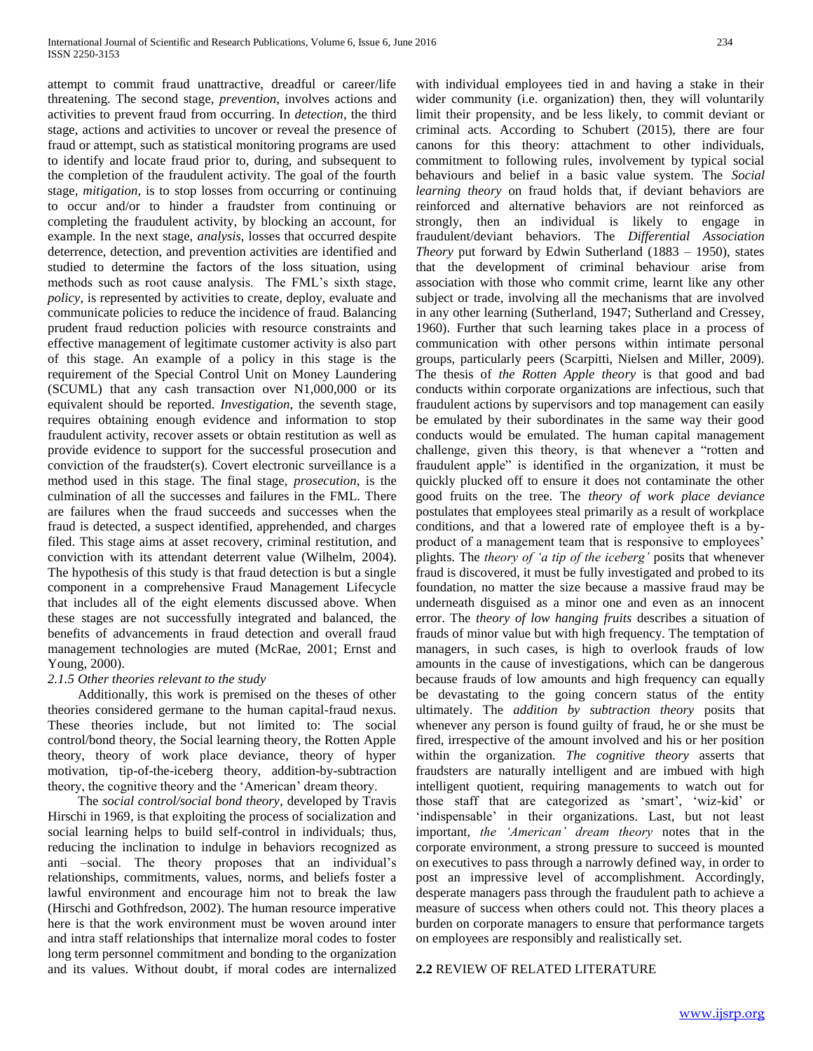attempt to commit fraud unattractive, dreadful or career/life threatening. The second stage, *prevention*, involves actions and activities to prevent fraud from occurring. In *detection*, the third stage, actions and activities to uncover or reveal the presence of fraud or attempt, such as statistical monitoring programs are used to identify and locate fraud prior to, during, and subsequent to the completion of the fraudulent activity. The goal of the fourth stage, *mitigation*, is to stop losses from occurring or continuing to occur and/or to hinder a fraudster from continuing or completing the fraudulent activity, by blocking an account, for example. In the next stage, *analysis*, losses that occurred despite deterrence, detection, and prevention activities are identified and studied to determine the factors of the loss situation, using methods such as root cause analysis. The FML's sixth stage, *policy*, is represented by activities to create, deploy, evaluate and communicate policies to reduce the incidence of fraud. Balancing prudent fraud reduction policies with resource constraints and effective management of legitimate customer activity is also part of this stage. An example of a policy in this stage is the requirement of the Special Control Unit on Money Laundering (SCUML) that any cash transaction over N1,000,000 or its equivalent should be reported. *Investigation*, the seventh stage, requires obtaining enough evidence and information to stop fraudulent activity, recover assets or obtain restitution as well as provide evidence to support for the successful prosecution and conviction of the fraudster(s). Covert electronic surveillance is a method used in this stage. The final stage, *prosecution*, is the culmination of all the successes and failures in the FML. There are failures when the fraud succeeds and successes when the fraud is detected, a suspect identified, apprehended, and charges filed. This stage aims at asset recovery, criminal restitution, and conviction with its attendant deterrent value (Wilhelm, 2004). The hypothesis of this study is that fraud detection is but a single component in a comprehensive Fraud Management Lifecycle that includes all of the eight elements discussed above. When these stages are not successfully integrated and balanced, the benefits of advancements in fraud detection and overall fraud management technologies are muted (McRae, 2001; Ernst and Young, 2000).

## *2.1.5 Other theories relevant to the study*

 Additionally, this work is premised on the theses of other theories considered germane to the human capital-fraud nexus. These theories include, but not limited to: The social control/bond theory, the Social learning theory, the Rotten Apple theory, theory of work place deviance, theory of hyper motivation, tip-of-the-iceberg theory, addition-by-subtraction theory, the cognitive theory and the 'American' dream theory.

 The *social control/social bond theory*, developed by Travis Hirschi in 1969, is that exploiting the process of socialization and social learning helps to build self-control in individuals; thus, reducing the inclination to indulge in behaviors recognized as anti –social. The theory proposes that an individual's relationships, commitments, values, norms, and beliefs foster a lawful environment and encourage him not to break the law (Hirschi and Gothfredson, 2002). The human resource imperative here is that the work environment must be woven around inter and intra staff relationships that internalize moral codes to foster long term personnel commitment and bonding to the organization and its values. Without doubt, if moral codes are internalized

with individual employees tied in and having a stake in their wider community (i.e. organization) then, they will voluntarily limit their propensity, and be less likely, to commit deviant or criminal acts. According to Schubert (2015), there are four canons for this theory: attachment to other individuals, commitment to following rules, involvement by typical social behaviours and belief in a basic value system. The *Social learning theory* on fraud holds that, if deviant behaviors are reinforced and alternative behaviors are not reinforced as strongly, then an individual is likely to engage in fraudulent/deviant behaviors*.* The *Differential Association Theory* put forward by Edwin Sutherland (1883 – 1950), states that the development of criminal behaviour arise from association with those who commit crime, learnt like any other subject or trade, involving all the mechanisms that are involved in any other learning (Sutherland, 1947; Sutherland and Cressey, 1960). Further that such learning takes place in a process of communication with other persons within intimate personal groups, particularly peers (Scarpitti, Nielsen and Miller, 2009). The thesis of *the Rotten Apple theory* is that good and bad conducts within corporate organizations are infectious, such that fraudulent actions by supervisors and top management can easily be emulated by their subordinates in the same way their good conducts would be emulated. The human capital management challenge, given this theory, is that whenever a "rotten and fraudulent apple" is identified in the organization, it must be quickly plucked off to ensure it does not contaminate the other good fruits on the tree. The *theory of work place deviance* postulates that employees steal primarily as a result of workplace conditions, and that a lowered rate of employee theft is a byproduct of a management team that is responsive to employees' plights. The *theory of 'a tip of the iceberg'* posits that whenever fraud is discovered, it must be fully investigated and probed to its foundation, no matter the size because a massive fraud may be underneath disguised as a minor one and even as an innocent error. The *theory of low hanging fruits* describes a situation of frauds of minor value but with high frequency. The temptation of managers, in such cases, is high to overlook frauds of low amounts in the cause of investigations, which can be dangerous because frauds of low amounts and high frequency can equally be devastating to the going concern status of the entity ultimately. The *addition by subtraction theory* posits that whenever any person is found guilty of fraud, he or she must be fired, irrespective of the amount involved and his or her position within the organization. *The cognitive theory* asserts that fraudsters are naturally intelligent and are imbued with high intelligent quotient, requiring managements to watch out for those staff that are categorized as 'smart', 'wiz-kid' or 'indispensable' in their organizations. Last, but not least important, *the 'American' dream theory* notes that in the corporate environment, a strong pressure to succeed is mounted on executives to pass through a narrowly defined way, in order to post an impressive level of accomplishment. Accordingly, desperate managers pass through the fraudulent path to achieve a measure of success when others could not. This theory places a burden on corporate managers to ensure that performance targets on employees are responsibly and realistically set.

## **2.2** REVIEW OF RELATED LITERATURE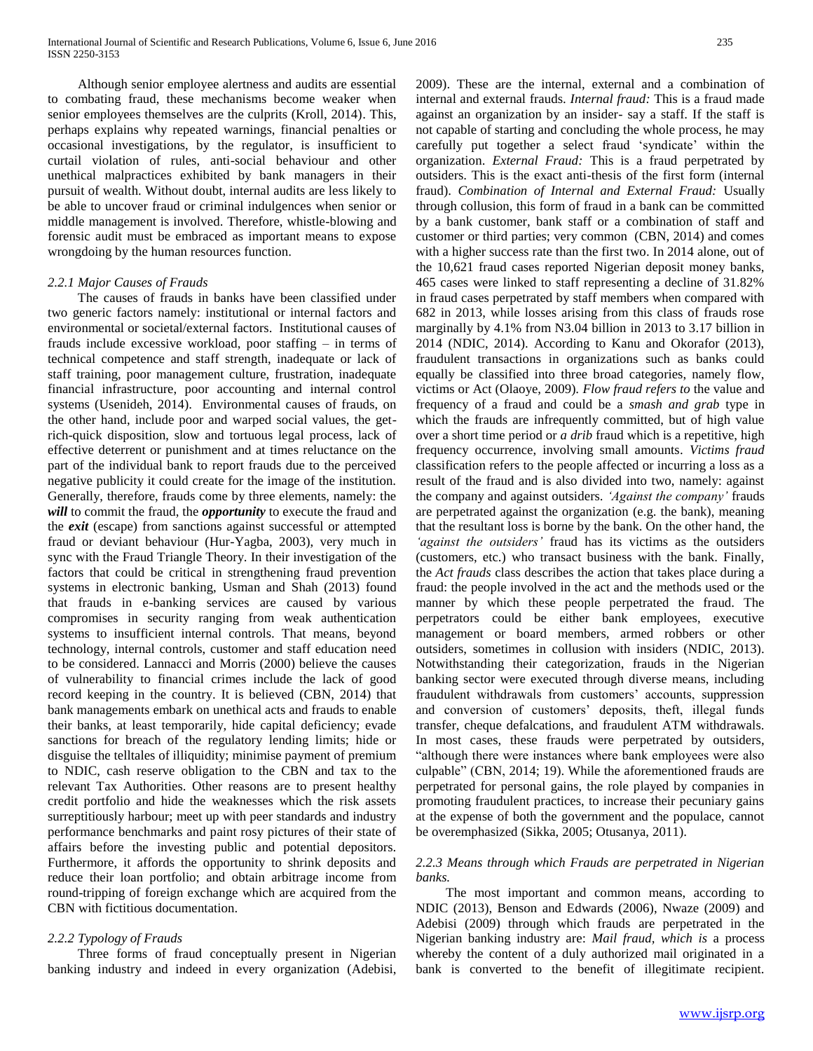Although senior employee alertness and audits are essential to combating fraud, these mechanisms become weaker when senior employees themselves are the culprits (Kroll, 2014). This, perhaps explains why repeated warnings, financial penalties or occasional investigations, by the regulator, is insufficient to curtail violation of rules, anti-social behaviour and other unethical malpractices exhibited by bank managers in their pursuit of wealth. Without doubt, internal audits are less likely to be able to uncover fraud or criminal indulgences when senior or middle management is involved. Therefore, whistle-blowing and forensic audit must be embraced as important means to expose wrongdoing by the human resources function.

## *2.2.1 Major Causes of Frauds*

 The causes of frauds in banks have been classified under two generic factors namely: institutional or internal factors and environmental or societal/external factors. Institutional causes of frauds include excessive workload, poor staffing – in terms of technical competence and staff strength, inadequate or lack of staff training, poor management culture, frustration, inadequate financial infrastructure, poor accounting and internal control systems (Usenideh, 2014). Environmental causes of frauds, on the other hand, include poor and warped social values, the getrich-quick disposition, slow and tortuous legal process, lack of effective deterrent or punishment and at times reluctance on the part of the individual bank to report frauds due to the perceived negative publicity it could create for the image of the institution. Generally, therefore, frauds come by three elements, namely: the *will* to commit the fraud, the *opportunity* to execute the fraud and the *exit* (escape) from sanctions against successful or attempted fraud or deviant behaviour (Hur-Yagba, 2003), very much in sync with the Fraud Triangle Theory. In their investigation of the factors that could be critical in strengthening fraud prevention systems in electronic banking, Usman and Shah (2013) found that frauds in e-banking services are caused by various compromises in security ranging from weak authentication systems to insufficient internal controls. That means, beyond technology, internal controls, customer and staff education need to be considered. Lannacci and Morris (2000) believe the causes of vulnerability to financial crimes include the lack of good record keeping in the country. It is believed (CBN, 2014) that bank managements embark on unethical acts and frauds to enable their banks, at least temporarily, hide capital deficiency; evade sanctions for breach of the regulatory lending limits; hide or disguise the telltales of illiquidity; minimise payment of premium to NDIC, cash reserve obligation to the CBN and tax to the relevant Tax Authorities. Other reasons are to present healthy credit portfolio and hide the weaknesses which the risk assets surreptitiously harbour; meet up with peer standards and industry performance benchmarks and paint rosy pictures of their state of affairs before the investing public and potential depositors. Furthermore, it affords the opportunity to shrink deposits and reduce their loan portfolio; and obtain arbitrage income from round-tripping of foreign exchange which are acquired from the CBN with fictitious documentation.

## *2.2.2 Typology of Frauds*

 Three forms of fraud conceptually present in Nigerian banking industry and indeed in every organization (Adebisi, 2009). These are the internal, external and a combination of internal and external frauds. *Internal fraud:* This is a fraud made against an organization by an insider- say a staff. If the staff is not capable of starting and concluding the whole process, he may carefully put together a select fraud 'syndicate' within the organization. *External Fraud:* This is a fraud perpetrated by outsiders. This is the exact anti-thesis of the first form (internal fraud). *Combination of Internal and External Fraud:* Usually through collusion, this form of fraud in a bank can be committed by a bank customer, bank staff or a combination of staff and customer or third parties; very common (CBN, 2014) and comes with a higher success rate than the first two. In 2014 alone, out of the 10,621 fraud cases reported Nigerian deposit money banks, 465 cases were linked to staff representing a decline of 31.82% in fraud cases perpetrated by staff members when compared with 682 in 2013, while losses arising from this class of frauds rose marginally by 4.1% from N3.04 billion in 2013 to 3.17 billion in 2014 (NDIC, 2014). According to Kanu and Okorafor (2013), fraudulent transactions in organizations such as banks could equally be classified into three broad categories, namely flow, victims or Act (Olaoye, 2009). *Flow fraud refers to* the value and frequency of a fraud and could be a *smash and grab* type in which the frauds are infrequently committed, but of high value over a short time period or *a drib* fraud which is a repetitive, high frequency occurrence, involving small amounts. *Victims fraud*  classification refers to the people affected or incurring a loss as a result of the fraud and is also divided into two, namely: against the company and against outsiders. *'Against the company'* frauds are perpetrated against the organization (e.g. the bank), meaning that the resultant loss is borne by the bank. On the other hand, the *'against the outsiders'* fraud has its victims as the outsiders (customers, etc.) who transact business with the bank. Finally, the *Act frauds* class describes the action that takes place during a fraud: the people involved in the act and the methods used or the manner by which these people perpetrated the fraud. The perpetrators could be either bank employees, executive management or board members, armed robbers or other outsiders, sometimes in collusion with insiders (NDIC, 2013). Notwithstanding their categorization, frauds in the Nigerian banking sector were executed through diverse means, including fraudulent withdrawals from customers' accounts, suppression and conversion of customers' deposits, theft, illegal funds transfer, cheque defalcations, and fraudulent ATM withdrawals. In most cases, these frauds were perpetrated by outsiders, "although there were instances where bank employees were also culpable" (CBN, 2014; 19). While the aforementioned frauds are perpetrated for personal gains, the role played by companies in promoting fraudulent practices, to increase their pecuniary gains at the expense of both the government and the populace, cannot be overemphasized (Sikka, 2005; Otusanya, 2011).

#### *2.2.3 Means through which Frauds are perpetrated in Nigerian banks.*

The most important and common means, according to NDIC (2013), Benson and Edwards (2006), Nwaze (2009) and Adebisi (2009) through which frauds are perpetrated in the Nigerian banking industry are: *Mail fraud, which is* a process whereby the content of a duly authorized mail originated in a bank is converted to the benefit of illegitimate recipient.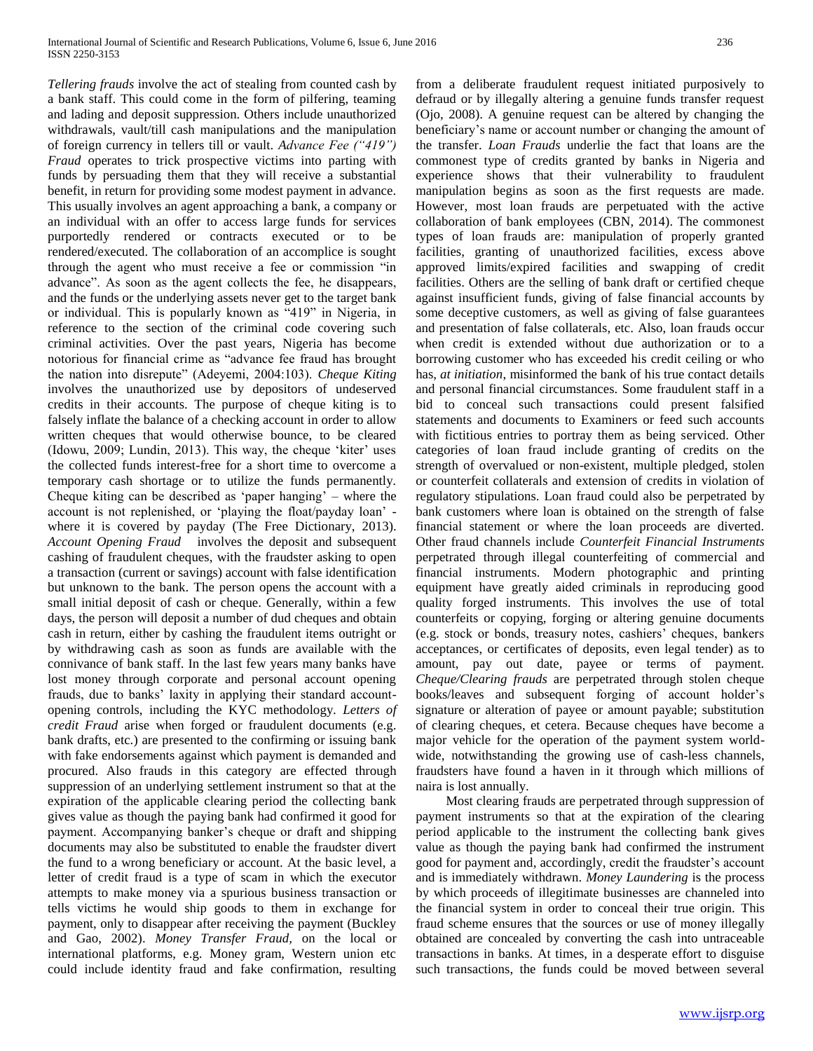*Tellering frauds* involve the act of stealing from counted cash by a bank staff. This could come in the form of pilfering, teaming and lading and deposit suppression. Others include unauthorized withdrawals, vault/till cash manipulations and the manipulation of foreign currency in tellers till or vault. *Advance Fee ("419") Fraud* operates to trick prospective victims into parting with funds by persuading them that they will receive a substantial benefit, in return for providing some modest payment in advance. This usually involves an agent approaching a bank, a company or an individual with an offer to access large funds for services purportedly rendered or contracts executed or to be rendered/executed. The collaboration of an accomplice is sought through the agent who must receive a fee or commission "in advance". As soon as the agent collects the fee, he disappears, and the funds or the underlying assets never get to the target bank or individual. This is popularly known as "419" in Nigeria, in reference to the section of the criminal code covering such criminal activities. Over the past years, Nigeria has become notorious for financial crime as "advance fee fraud has brought the nation into disrepute" (Adeyemi, 2004:103). *Cheque Kiting*  involves the unauthorized use by depositors of undeserved credits in their accounts. The purpose of cheque kiting is to falsely inflate the balance of a checking account in order to allow written cheques that would otherwise bounce, to be cleared (Idowu, 2009; Lundin, 2013). This way, the cheque 'kiter' uses the collected funds interest-free for a short time to overcome a temporary cash shortage or to utilize the funds permanently. Cheque kiting can be described as 'paper hanging' – where the account is not replenished, or 'playing the float/payday loan' where it is covered by payday (The Free Dictionary, 2013). *Account Opening Fraud* involves the deposit and subsequent cashing of fraudulent cheques, with the fraudster asking to open a transaction (current or savings) account with false identification but unknown to the bank. The person opens the account with a small initial deposit of cash or cheque. Generally, within a few days, the person will deposit a number of dud cheques and obtain cash in return, either by cashing the fraudulent items outright or by withdrawing cash as soon as funds are available with the connivance of bank staff. In the last few years many banks have lost money through corporate and personal account opening frauds, due to banks' laxity in applying their standard accountopening controls, including the KYC methodology. *Letters of credit Fraud* arise when forged or fraudulent documents (e.g. bank drafts, etc.) are presented to the confirming or issuing bank with fake endorsements against which payment is demanded and procured. Also frauds in this category are effected through suppression of an underlying settlement instrument so that at the expiration of the applicable clearing period the collecting bank gives value as though the paying bank had confirmed it good for payment. Accompanying banker's cheque or draft and shipping documents may also be substituted to enable the fraudster divert the fund to a wrong beneficiary or account. At the basic level, a letter of credit fraud is a type of scam in which the executor attempts to make money via a spurious business transaction or tells victims he would ship goods to them in exchange for payment, only to disappear after receiving the payment (Buckley and Gao, 2002). *Money Transfer Fraud,* on the local or international platforms, e.g. Money gram, Western union etc could include identity fraud and fake confirmation, resulting

from a deliberate fraudulent request initiated purposively to defraud or by illegally altering a genuine funds transfer request (Ojo, 2008). A genuine request can be altered by changing the beneficiary's name or account number or changing the amount of the transfer. *Loan Frauds* underlie the fact that loans are the commonest type of credits granted by banks in Nigeria and experience shows that their vulnerability to fraudulent manipulation begins as soon as the first requests are made. However, most loan frauds are perpetuated with the active collaboration of bank employees (CBN, 2014). The commonest types of loan frauds are: manipulation of properly granted facilities, granting of unauthorized facilities, excess above approved limits/expired facilities and swapping of credit facilities. Others are the selling of bank draft or certified cheque against insufficient funds, giving of false financial accounts by some deceptive customers, as well as giving of false guarantees and presentation of false collaterals, etc. Also, loan frauds occur when credit is extended without due authorization or to a borrowing customer who has exceeded his credit ceiling or who has, *at initiation*, misinformed the bank of his true contact details and personal financial circumstances. Some fraudulent staff in a bid to conceal such transactions could present falsified statements and documents to Examiners or feed such accounts with fictitious entries to portray them as being serviced. Other categories of loan fraud include granting of credits on the strength of overvalued or non-existent, multiple pledged, stolen or counterfeit collaterals and extension of credits in violation of regulatory stipulations. Loan fraud could also be perpetrated by bank customers where loan is obtained on the strength of false financial statement or where the loan proceeds are diverted. Other fraud channels include *Counterfeit Financial Instruments*  perpetrated through illegal counterfeiting of commercial and financial instruments. Modern photographic and printing equipment have greatly aided criminals in reproducing good quality forged instruments. This involves the use of total counterfeits or copying, forging or altering genuine documents (e.g. stock or bonds, treasury notes, cashiers' cheques, bankers acceptances, or certificates of deposits, even legal tender) as to amount, pay out date, payee or terms of payment. *Cheque/Clearing frauds* are perpetrated through stolen cheque books/leaves and subsequent forging of account holder's signature or alteration of payee or amount payable; substitution of clearing cheques, et cetera. Because cheques have become a major vehicle for the operation of the payment system worldwide, notwithstanding the growing use of cash-less channels, fraudsters have found a haven in it through which millions of naira is lost annually.

 Most clearing frauds are perpetrated through suppression of payment instruments so that at the expiration of the clearing period applicable to the instrument the collecting bank gives value as though the paying bank had confirmed the instrument good for payment and, accordingly, credit the fraudster's account and is immediately withdrawn. *Money Laundering* is the process by which proceeds of illegitimate businesses are channeled into the financial system in order to conceal their true origin. This fraud scheme ensures that the sources or use of money illegally obtained are concealed by converting the cash into untraceable transactions in banks. At times, in a desperate effort to disguise such transactions, the funds could be moved between several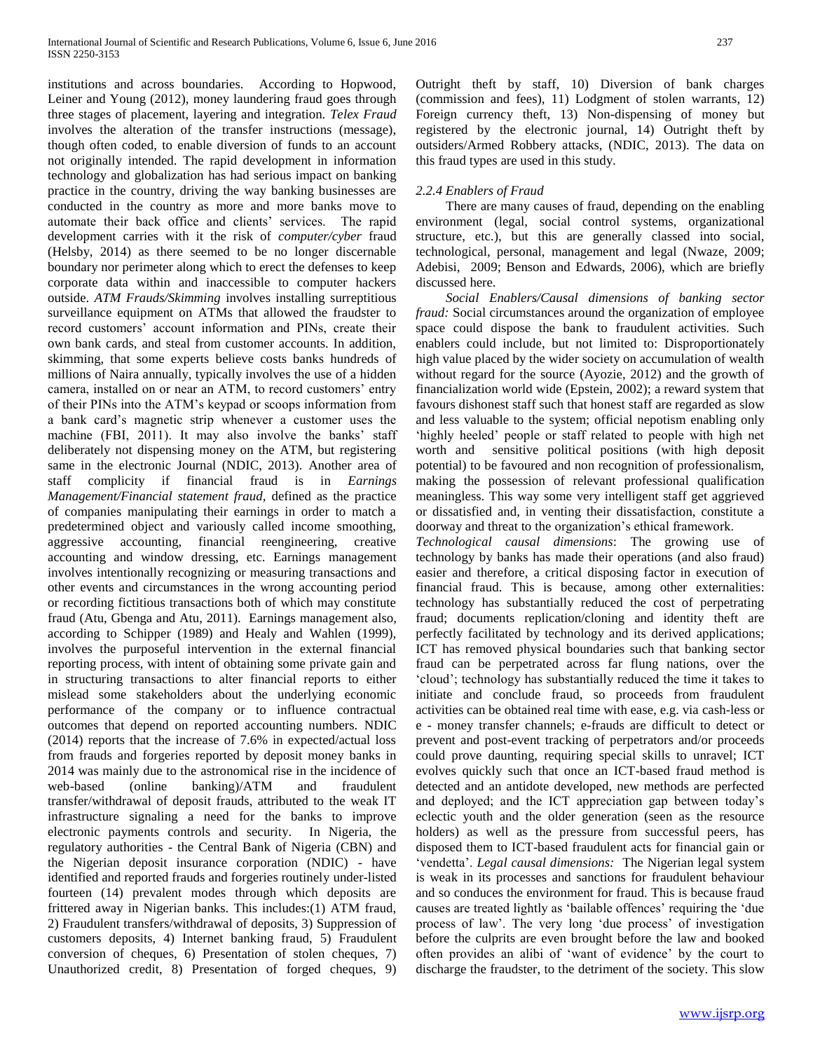institutions and across boundaries. According to Hopwood, Leiner and Young (2012), money laundering fraud goes through three stages of placement, layering and integration. *Telex Fraud*  involves the alteration of the transfer instructions (message), though often coded, to enable diversion of funds to an account not originally intended. The rapid development in information technology and globalization has had serious impact on banking practice in the country, driving the way banking businesses are conducted in the country as more and more banks move to automate their back office and clients' services. The rapid development carries with it the risk of *computer/cyber* fraud (Helsby, 2014) as there seemed to be no longer discernable boundary nor perimeter along which to erect the defenses to keep corporate data within and inaccessible to computer hackers outside. *ATM Frauds/Skimming* involves installing surreptitious surveillance equipment on ATMs that allowed the fraudster to record customers' account information and PINs, create their own bank cards, and steal from customer accounts. In addition, skimming, that some experts believe costs banks hundreds of millions of Naira annually, typically involves the use of a hidden camera, installed on or near an ATM, to record customers' entry of their PINs into the ATM's keypad or scoops information from a bank card's magnetic strip whenever a customer uses the machine (FBI, 2011). It may also involve the banks' staff deliberately not dispensing money on the ATM, but registering same in the electronic Journal (NDIC, 2013). Another area of staff complicity if financial fraud is in *Earnings Management/Financial statement fraud,* defined as the practice of companies manipulating their earnings in order to match a predetermined object and variously called income smoothing, aggressive accounting, financial reengineering, creative accounting and window dressing, etc. Earnings management involves intentionally recognizing or measuring transactions and other events and circumstances in the wrong accounting period or recording fictitious transactions both of which may constitute fraud (Atu, Gbenga and Atu, 2011). Earnings management also, according to Schipper (1989) and Healy and Wahlen (1999), involves the purposeful intervention in the external financial reporting process, with intent of obtaining some private gain and in structuring transactions to alter financial reports to either mislead some stakeholders about the underlying economic performance of the company or to influence contractual outcomes that depend on reported accounting numbers. NDIC (2014) reports that the increase of 7.6% in expected/actual loss from frauds and forgeries reported by deposit money banks in 2014 was mainly due to the astronomical rise in the incidence of web-based (online banking)/ATM and fraudulent transfer/withdrawal of deposit frauds, attributed to the weak IT infrastructure signaling a need for the banks to improve electronic payments controls and security. In Nigeria, the regulatory authorities - the Central Bank of Nigeria (CBN) and the Nigerian deposit insurance corporation (NDIC) - have identified and reported frauds and forgeries routinely under-listed fourteen (14) prevalent modes through which deposits are frittered away in Nigerian banks. This includes:(1) ATM fraud, 2) Fraudulent transfers/withdrawal of deposits, 3) Suppression of customers deposits, 4) Internet banking fraud, 5) Fraudulent conversion of cheques, 6) Presentation of stolen cheques, 7) Unauthorized credit, 8) Presentation of forged cheques, 9) Outright theft by staff, 10) Diversion of bank charges (commission and fees), 11) Lodgment of stolen warrants, 12) Foreign currency theft, 13) Non-dispensing of money but registered by the electronic journal, 14) Outright theft by outsiders/Armed Robbery attacks, (NDIC, 2013). The data on this fraud types are used in this study.

## *2.2.4 Enablers of Fraud*

 There are many causes of fraud, depending on the enabling environment (legal, social control systems, organizational structure, etc.), but this are generally classed into social, technological, personal, management and legal (Nwaze, 2009; Adebisi, 2009; Benson and Edwards, 2006), which are briefly discussed here.

 *Social Enablers/Causal dimensions of banking sector fraud:* Social circumstances around the organization of employee space could dispose the bank to fraudulent activities. Such enablers could include, but not limited to: Disproportionately high value placed by the wider society on accumulation of wealth without regard for the source (Ayozie, 2012) and the growth of financialization world wide (Epstein, 2002); a reward system that favours dishonest staff such that honest staff are regarded as slow and less valuable to the system; official nepotism enabling only 'highly heeled' people or staff related to people with high net worth and sensitive political positions (with high deposit potential) to be favoured and non recognition of professionalism, making the possession of relevant professional qualification meaningless. This way some very intelligent staff get aggrieved or dissatisfied and, in venting their dissatisfaction, constitute a doorway and threat to the organization's ethical framework.

*Technological causal dimensions*: The growing use of technology by banks has made their operations (and also fraud) easier and therefore, a critical disposing factor in execution of financial fraud. This is because, among other externalities: technology has substantially reduced the cost of perpetrating fraud; documents replication/cloning and identity theft are perfectly facilitated by technology and its derived applications; ICT has removed physical boundaries such that banking sector fraud can be perpetrated across far flung nations, over the 'cloud'; technology has substantially reduced the time it takes to initiate and conclude fraud, so proceeds from fraudulent activities can be obtained real time with ease, e.g. via cash-less or e - money transfer channels; e-frauds are difficult to detect or prevent and post-event tracking of perpetrators and/or proceeds could prove daunting, requiring special skills to unravel; ICT evolves quickly such that once an ICT-based fraud method is detected and an antidote developed, new methods are perfected and deployed; and the ICT appreciation gap between today's eclectic youth and the older generation (seen as the resource holders) as well as the pressure from successful peers, has disposed them to ICT-based fraudulent acts for financial gain or 'vendetta'. *Legal causal dimensions:* The Nigerian legal system is weak in its processes and sanctions for fraudulent behaviour and so conduces the environment for fraud. This is because fraud causes are treated lightly as 'bailable offences' requiring the 'due process of law'. The very long 'due process' of investigation before the culprits are even brought before the law and booked often provides an alibi of 'want of evidence' by the court to discharge the fraudster, to the detriment of the society. This slow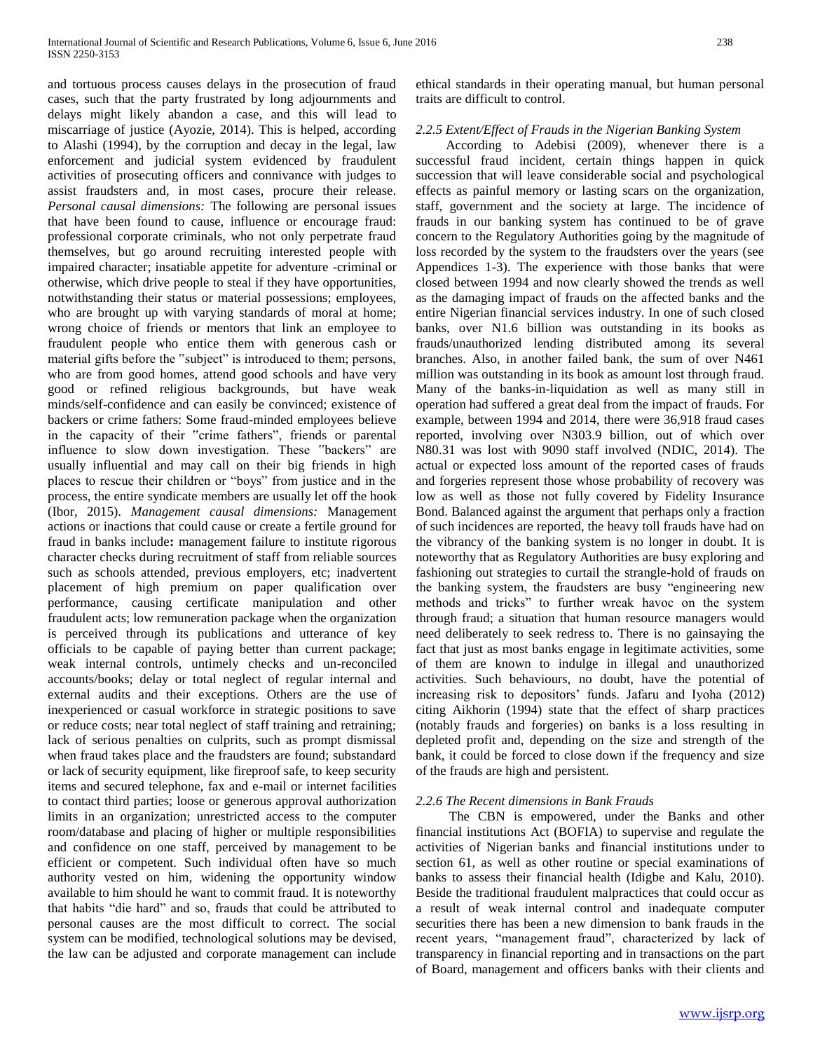and tortuous process causes delays in the prosecution of fraud cases, such that the party frustrated by long adjournments and delays might likely abandon a case, and this will lead to miscarriage of justice (Ayozie, 2014). This is helped, according to Alashi (1994), by the corruption and decay in the legal, law enforcement and judicial system evidenced by fraudulent activities of prosecuting officers and connivance with judges to assist fraudsters and, in most cases, procure their release. *Personal causal dimensions:* The following are personal issues that have been found to cause, influence or encourage fraud: professional corporate criminals, who not only perpetrate fraud themselves, but go around recruiting interested people with impaired character; insatiable appetite for adventure -criminal or otherwise, which drive people to steal if they have opportunities, notwithstanding their status or material possessions; employees, who are brought up with varying standards of moral at home; wrong choice of friends or mentors that link an employee to fraudulent people who entice them with generous cash or material gifts before the "subject" is introduced to them; persons, who are from good homes, attend good schools and have very good or refined religious backgrounds, but have weak minds/self-confidence and can easily be convinced; existence of backers or crime fathers: Some fraud-minded employees believe in the capacity of their "crime fathers", friends or parental influence to slow down investigation. These "backers" are usually influential and may call on their big friends in high places to rescue their children or "boys" from justice and in the process, the entire syndicate members are usually let off the hook (Ibor, 2015). *Management causal dimensions:* Management actions or inactions that could cause or create a fertile ground for fraud in banks include**:** management failure to institute rigorous character checks during recruitment of staff from reliable sources such as schools attended, previous employers, etc; inadvertent placement of high premium on paper qualification over performance, causing certificate manipulation and other fraudulent acts; low remuneration package when the organization is perceived through its publications and utterance of key officials to be capable of paying better than current package; weak internal controls, untimely checks and un-reconciled accounts/books; delay or total neglect of regular internal and external audits and their exceptions. Others are the use of inexperienced or casual workforce in strategic positions to save or reduce costs; near total neglect of staff training and retraining; lack of serious penalties on culprits, such as prompt dismissal when fraud takes place and the fraudsters are found; substandard or lack of security equipment, like fireproof safe, to keep security items and secured telephone, fax and e-mail or internet facilities to contact third parties; loose or generous approval authorization limits in an organization; unrestricted access to the computer room/database and placing of higher or multiple responsibilities and confidence on one staff, perceived by management to be efficient or competent. Such individual often have so much authority vested on him, widening the opportunity window available to him should he want to commit fraud. It is noteworthy that habits "die hard" and so, frauds that could be attributed to personal causes are the most difficult to correct. The social system can be modified, technological solutions may be devised, the law can be adjusted and corporate management can include

ethical standards in their operating manual, but human personal traits are difficult to control.

# *2.2.5 Extent/Effect of Frauds in the Nigerian Banking System*

 According to Adebisi (2009), whenever there is a successful fraud incident, certain things happen in quick succession that will leave considerable social and psychological effects as painful memory or lasting scars on the organization, staff, government and the society at large. The incidence of frauds in our banking system has continued to be of grave concern to the Regulatory Authorities going by the magnitude of loss recorded by the system to the fraudsters over the years (see Appendices 1-3). The experience with those banks that were closed between 1994 and now clearly showed the trends as well as the damaging impact of frauds on the affected banks and the entire Nigerian financial services industry. In one of such closed banks, over N1.6 billion was outstanding in its books as frauds/unauthorized lending distributed among its several branches. Also, in another failed bank, the sum of over N461 million was outstanding in its book as amount lost through fraud. Many of the banks-in-liquidation as well as many still in operation had suffered a great deal from the impact of frauds. For example, between 1994 and 2014, there were 36,918 fraud cases reported, involving over N303.9 billion, out of which over N80.31 was lost with 9090 staff involved (NDIC, 2014). The actual or expected loss amount of the reported cases of frauds and forgeries represent those whose probability of recovery was low as well as those not fully covered by Fidelity Insurance Bond. Balanced against the argument that perhaps only a fraction of such incidences are reported, the heavy toll frauds have had on the vibrancy of the banking system is no longer in doubt. It is noteworthy that as Regulatory Authorities are busy exploring and fashioning out strategies to curtail the strangle-hold of frauds on the banking system, the fraudsters are busy "engineering new methods and tricks" to further wreak havoc on the system through fraud; a situation that human resource managers would need deliberately to seek redress to. There is no gainsaying the fact that just as most banks engage in legitimate activities, some of them are known to indulge in illegal and unauthorized activities. Such behaviours, no doubt, have the potential of increasing risk to depositors' funds. Jafaru and Iyoha (2012) citing Aikhorin (1994) state that the effect of sharp practices (notably frauds and forgeries) on banks is a loss resulting in depleted profit and, depending on the size and strength of the bank, it could be forced to close down if the frequency and size of the frauds are high and persistent.

#### *2.2.6 The Recent dimensions in Bank Frauds*

 The CBN is empowered, under the Banks and other financial institutions Act (BOFIA) to supervise and regulate the activities of Nigerian banks and financial institutions under to section 61, as well as other routine or special examinations of banks to assess their financial health (Idigbe and Kalu, 2010). Beside the traditional fraudulent malpractices that could occur as a result of weak internal control and inadequate computer securities there has been a new dimension to bank frauds in the recent years, "management fraud", characterized by lack of transparency in financial reporting and in transactions on the part of Board, management and officers banks with their clients and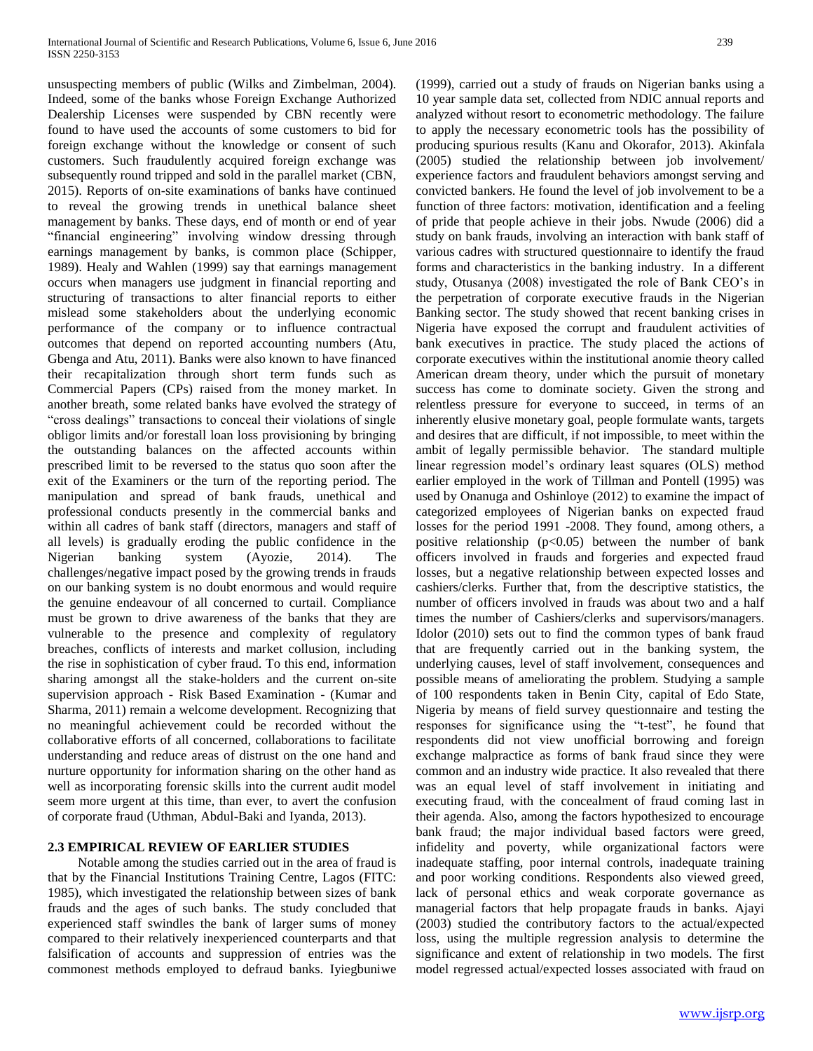unsuspecting members of public (Wilks and Zimbelman, 2004). Indeed, some of the banks whose Foreign Exchange Authorized Dealership Licenses were suspended by CBN recently were found to have used the accounts of some customers to bid for foreign exchange without the knowledge or consent of such customers. Such fraudulently acquired foreign exchange was subsequently round tripped and sold in the parallel market (CBN, 2015). Reports of on-site examinations of banks have continued to reveal the growing trends in unethical balance sheet management by banks. These days, end of month or end of year "financial engineering" involving window dressing through earnings management by banks, is common place (Schipper, 1989). Healy and Wahlen (1999) say that earnings management occurs when managers use judgment in financial reporting and structuring of transactions to alter financial reports to either mislead some stakeholders about the underlying economic performance of the company or to influence contractual outcomes that depend on reported accounting numbers (Atu, Gbenga and Atu, 2011). Banks were also known to have financed their recapitalization through short term funds such as Commercial Papers (CPs) raised from the money market. In another breath, some related banks have evolved the strategy of "cross dealings" transactions to conceal their violations of single obligor limits and/or forestall loan loss provisioning by bringing the outstanding balances on the affected accounts within prescribed limit to be reversed to the status quo soon after the exit of the Examiners or the turn of the reporting period. The manipulation and spread of bank frauds, unethical and professional conducts presently in the commercial banks and within all cadres of bank staff (directors, managers and staff of all levels) is gradually eroding the public confidence in the Nigerian banking system (Ayozie, 2014). The challenges/negative impact posed by the growing trends in frauds on our banking system is no doubt enormous and would require the genuine endeavour of all concerned to curtail. Compliance must be grown to drive awareness of the banks that they are vulnerable to the presence and complexity of regulatory breaches, conflicts of interests and market collusion, including the rise in sophistication of cyber fraud. To this end, information sharing amongst all the stake-holders and the current on-site supervision approach - Risk Based Examination - (Kumar and Sharma, 2011) remain a welcome development. Recognizing that no meaningful achievement could be recorded without the collaborative efforts of all concerned, collaborations to facilitate understanding and reduce areas of distrust on the one hand and nurture opportunity for information sharing on the other hand as well as incorporating forensic skills into the current audit model seem more urgent at this time, than ever, to avert the confusion of corporate fraud (Uthman, Abdul-Baki and Iyanda, 2013).

## **2.3 EMPIRICAL REVIEW OF EARLIER STUDIES**

 Notable among the studies carried out in the area of fraud is that by the Financial Institutions Training Centre, Lagos (FITC: 1985), which investigated the relationship between sizes of bank frauds and the ages of such banks. The study concluded that experienced staff swindles the bank of larger sums of money compared to their relatively inexperienced counterparts and that falsification of accounts and suppression of entries was the commonest methods employed to defraud banks. Iyiegbuniwe (1999), carried out a study of frauds on Nigerian banks using a 10 year sample data set, collected from NDIC annual reports and analyzed without resort to econometric methodology. The failure to apply the necessary econometric tools has the possibility of producing spurious results (Kanu and Okorafor, 2013). Akinfala (2005) studied the relationship between job involvement/ experience factors and fraudulent behaviors amongst serving and convicted bankers. He found the level of job involvement to be a function of three factors: motivation, identification and a feeling of pride that people achieve in their jobs. Nwude (2006) did a study on bank frauds, involving an interaction with bank staff of various cadres with structured questionnaire to identify the fraud forms and characteristics in the banking industry. In a different study, Otusanya (2008) investigated the role of Bank CEO's in the perpetration of corporate executive frauds in the Nigerian Banking sector. The study showed that recent banking crises in Nigeria have exposed the corrupt and fraudulent activities of bank executives in practice. The study placed the actions of corporate executives within the institutional anomie theory called American dream theory, under which the pursuit of monetary success has come to dominate society. Given the strong and relentless pressure for everyone to succeed, in terms of an inherently elusive monetary goal, people formulate wants, targets and desires that are difficult, if not impossible, to meet within the ambit of legally permissible behavior. The standard multiple linear regression model's ordinary least squares (OLS) method earlier employed in the work of Tillman and Pontell (1995) was used by Onanuga and Oshinloye (2012) to examine the impact of categorized employees of Nigerian banks on expected fraud losses for the period 1991 -2008. They found, among others, a positive relationship  $(p<0.05)$  between the number of bank officers involved in frauds and forgeries and expected fraud losses, but a negative relationship between expected losses and cashiers/clerks. Further that, from the descriptive statistics, the number of officers involved in frauds was about two and a half times the number of Cashiers/clerks and supervisors/managers. Idolor (2010) sets out to find the common types of bank fraud that are frequently carried out in the banking system, the underlying causes, level of staff involvement, consequences and possible means of ameliorating the problem. Studying a sample of 100 respondents taken in Benin City, capital of Edo State, Nigeria by means of field survey questionnaire and testing the responses for significance using the "t-test", he found that respondents did not view unofficial borrowing and foreign exchange malpractice as forms of bank fraud since they were common and an industry wide practice. It also revealed that there was an equal level of staff involvement in initiating and executing fraud, with the concealment of fraud coming last in their agenda. Also, among the factors hypothesized to encourage bank fraud; the major individual based factors were greed, infidelity and poverty, while organizational factors were inadequate staffing, poor internal controls, inadequate training and poor working conditions. Respondents also viewed greed, lack of personal ethics and weak corporate governance as managerial factors that help propagate frauds in banks. Ajayi (2003) studied the contributory factors to the actual/expected loss, using the multiple regression analysis to determine the significance and extent of relationship in two models. The first model regressed actual/expected losses associated with fraud on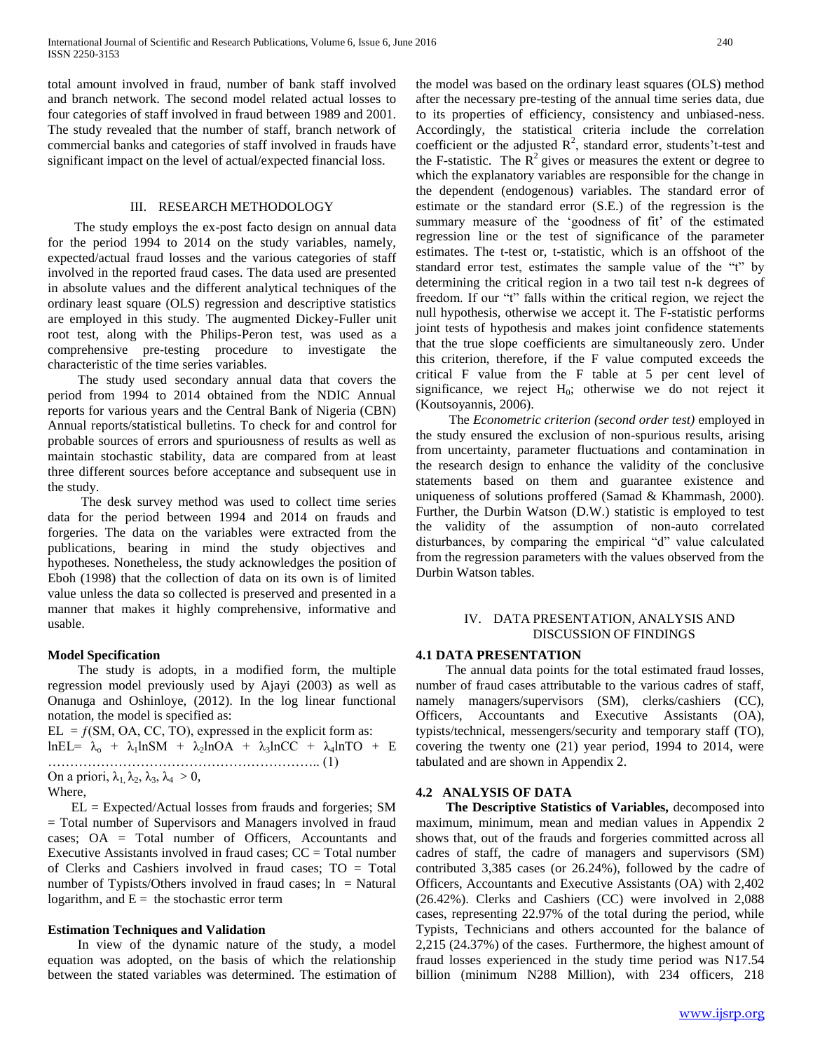total amount involved in fraud, number of bank staff involved and branch network. The second model related actual losses to four categories of staff involved in fraud between 1989 and 2001. The study revealed that the number of staff, branch network of commercial banks and categories of staff involved in frauds have significant impact on the level of actual/expected financial loss.

#### III. RESEARCH METHODOLOGY

 The study employs the ex-post facto design on annual data for the period 1994 to 2014 on the study variables, namely, expected/actual fraud losses and the various categories of staff involved in the reported fraud cases. The data used are presented in absolute values and the different analytical techniques of the ordinary least square (OLS) regression and descriptive statistics are employed in this study. The augmented Dickey-Fuller unit root test, along with the Philips-Peron test, was used as a comprehensive pre-testing procedure to investigate the characteristic of the time series variables.

The study used secondary annual data that covers the period from 1994 to 2014 obtained from the NDIC Annual reports for various years and the Central Bank of Nigeria (CBN) Annual reports/statistical bulletins. To check for and control for probable sources of errors and spuriousness of results as well as maintain stochastic stability, data are compared from at least three different sources before acceptance and subsequent use in the study.

 The desk survey method was used to collect time series data for the period between 1994 and 2014 on frauds and forgeries. The data on the variables were extracted from the publications, bearing in mind the study objectives and hypotheses. Nonetheless, the study acknowledges the position of Eboh (1998) that the collection of data on its own is of limited value unless the data so collected is preserved and presented in a manner that makes it highly comprehensive, informative and usable.

#### **Model Specification**

 The study is adopts, in a modified form, the multiple regression model previously used by Ajayi (2003) as well as Onanuga and Oshinloye, (2012). In the log linear functional notation, the model is specified as:

 $EL = f(SM, OA, CC, TO)$ , expressed in the explicit form as: lnEL=  $\lambda_0$  +  $\lambda_1$ lnSM +  $\lambda_2$ lnOA +  $\lambda_3$ lnCC +  $\lambda_4$ lnTO + E …………………………………………………….. (1) On a priori,  $\lambda_1, \lambda_2, \lambda_3, \lambda_4 > 0$ , Where,

 $EL = Expected/Actual losses from frauds and forgeries; SM$ = Total number of Supervisors and Managers involved in fraud cases; OA = Total number of Officers, Accountants and Executive Assistants involved in fraud cases;  $CC = Total number$ of Clerks and Cashiers involved in fraud cases; TO = Total number of Typists/Others involved in fraud cases;  $ln = Natural$ logarithm, and  $E =$  the stochastic error term

#### **Estimation Techniques and Validation**

 In view of the dynamic nature of the study, a model equation was adopted, on the basis of which the relationship between the stated variables was determined. The estimation of the model was based on the ordinary least squares (OLS) method after the necessary pre-testing of the annual time series data, due to its properties of efficiency, consistency and unbiased-ness. Accordingly, the statistical criteria include the correlation coefficient or the adjusted  $\mathbb{R}^2$ , standard error, students't-test and the F-statistic. The  $R^2$  gives or measures the extent or degree to which the explanatory variables are responsible for the change in the dependent (endogenous) variables. The standard error of estimate or the standard error (S.E.) of the regression is the summary measure of the 'goodness of fit' of the estimated regression line or the test of significance of the parameter estimates. The t-test or, t-statistic, which is an offshoot of the standard error test, estimates the sample value of the "t" by determining the critical region in a two tail test n-k degrees of freedom. If our "t" falls within the critical region, we reject the null hypothesis, otherwise we accept it. The F-statistic performs joint tests of hypothesis and makes joint confidence statements that the true slope coefficients are simultaneously zero. Under this criterion, therefore, if the F value computed exceeds the critical F value from the F table at 5 per cent level of significance, we reject  $H_0$ ; otherwise we do not reject it (Koutsoyannis, 2006).

 The *Econometric criterion (second order test)* employed in the study ensured the exclusion of non-spurious results, arising from uncertainty, parameter fluctuations and contamination in the research design to enhance the validity of the conclusive statements based on them and guarantee existence and uniqueness of solutions proffered (Samad & Khammash, 2000). Further, the Durbin Watson (D.W.) statistic is employed to test the validity of the assumption of non-auto correlated disturbances, by comparing the empirical "d" value calculated from the regression parameters with the values observed from the Durbin Watson tables.

## IV. DATA PRESENTATION, ANALYSIS AND DISCUSSION OF FINDINGS

#### **4.1 DATA PRESENTATION**

 The annual data points for the total estimated fraud losses, number of fraud cases attributable to the various cadres of staff, namely managers/supervisors (SM), clerks/cashiers (CC), Officers, Accountants and Executive Assistants (OA), typists/technical, messengers/security and temporary staff (TO), covering the twenty one (21) year period, 1994 to 2014, were tabulated and are shown in Appendix 2.

## **4.2 ANALYSIS OF DATA**

 **The Descriptive Statistics of Variables,** decomposed into maximum, minimum, mean and median values in Appendix 2 shows that, out of the frauds and forgeries committed across all cadres of staff, the cadre of managers and supervisors (SM) contributed 3,385 cases (or 26.24%), followed by the cadre of Officers, Accountants and Executive Assistants (OA) with 2,402 (26.42%). Clerks and Cashiers (CC) were involved in 2,088 cases, representing 22.97% of the total during the period, while Typists, Technicians and others accounted for the balance of 2,215 (24.37%) of the cases. Furthermore, the highest amount of fraud losses experienced in the study time period was N17.54 billion (minimum N288 Million), with 234 officers, 218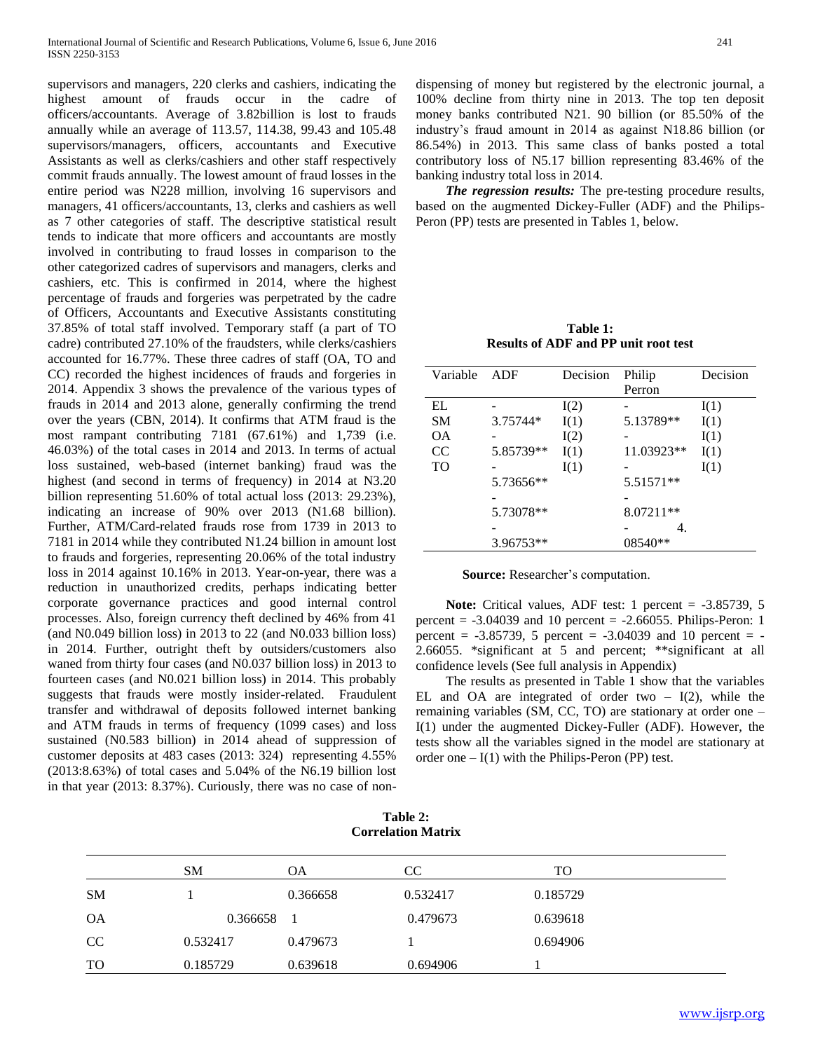supervisors and managers, 220 clerks and cashiers, indicating the highest amount of frauds occur in the cadre of officers/accountants. Average of 3.82billion is lost to frauds annually while an average of 113.57, 114.38, 99.43 and 105.48 supervisors/managers, officers, accountants and Executive Assistants as well as clerks/cashiers and other staff respectively commit frauds annually. The lowest amount of fraud losses in the entire period was N228 million, involving 16 supervisors and managers, 41 officers/accountants, 13, clerks and cashiers as well as 7 other categories of staff. The descriptive statistical result tends to indicate that more officers and accountants are mostly involved in contributing to fraud losses in comparison to the other categorized cadres of supervisors and managers, clerks and cashiers, etc. This is confirmed in 2014, where the highest percentage of frauds and forgeries was perpetrated by the cadre of Officers, Accountants and Executive Assistants constituting 37.85% of total staff involved. Temporary staff (a part of TO cadre) contributed 27.10% of the fraudsters, while clerks/cashiers accounted for 16.77%. These three cadres of staff (OA, TO and CC) recorded the highest incidences of frauds and forgeries in 2014. Appendix 3 shows the prevalence of the various types of frauds in 2014 and 2013 alone, generally confirming the trend over the years (CBN, 2014). It confirms that ATM fraud is the most rampant contributing 7181 (67.61%) and 1,739 (i.e. 46.03%) of the total cases in 2014 and 2013. In terms of actual loss sustained, web-based (internet banking) fraud was the highest (and second in terms of frequency) in 2014 at N3.20 billion representing 51.60% of total actual loss (2013: 29.23%), indicating an increase of 90% over 2013 (N1.68 billion). Further, ATM/Card-related frauds rose from 1739 in 2013 to 7181 in 2014 while they contributed N1.24 billion in amount lost to frauds and forgeries, representing 20.06% of the total industry loss in 2014 against 10.16% in 2013. Year-on-year, there was a reduction in unauthorized credits, perhaps indicating better corporate governance practices and good internal control processes. Also, foreign currency theft declined by 46% from 41 (and N0.049 billion loss) in 2013 to 22 (and N0.033 billion loss) in 2014. Further, outright theft by outsiders/customers also waned from thirty four cases (and N0.037 billion loss) in 2013 to fourteen cases (and N0.021 billion loss) in 2014. This probably suggests that frauds were mostly insider-related. Fraudulent transfer and withdrawal of deposits followed internet banking and ATM frauds in terms of frequency (1099 cases) and loss sustained (N0.583 billion) in 2014 ahead of suppression of customer deposits at 483 cases (2013: 324) representing 4.55% (2013:8.63%) of total cases and 5.04% of the N6.19 billion lost in that year (2013: 8.37%). Curiously, there was no case of nondispensing of money but registered by the electronic journal, a 100% decline from thirty nine in 2013. The top ten deposit money banks contributed N21. 90 billion (or 85.50% of the industry's fraud amount in 2014 as against N18.86 billion (or 86.54%) in 2013. This same class of banks posted a total contributory loss of N5.17 billion representing 83.46% of the banking industry total loss in 2014.

 *The regression results:* The pre-testing procedure results, based on the augmented Dickey-Fuller (ADF) and the Philips-Peron (PP) tests are presented in Tables 1, below.

**Table 1: Results of ADF and PP unit root test**

| Variable      | ADF       | Decision | Philip     | Decision |  |
|---------------|-----------|----------|------------|----------|--|
|               |           |          | Perron     |          |  |
| EL            |           | I(2)     |            | I(1)     |  |
| <b>SM</b>     | 3.75744*  | I(1)     | 5.13789**  | I(1)     |  |
| OΑ            |           | I(2)     |            | I(1)     |  |
| <sub>CC</sub> | 5.85739** | I(1)     | 11.03923** | I(1)     |  |
| TO            |           | I(1)     |            | I(1)     |  |
|               | 5.73656** |          | 5.51571**  |          |  |
|               |           |          |            |          |  |
|               | 5.73078** |          | 8.07211**  |          |  |
|               |           |          | 4.         |          |  |
|               | 3.96753** |          | 08540**    |          |  |

**Source:** Researcher's computation.

Note: Critical values, ADF test: 1 percent = -3.85739, 5 percent =  $-3.04039$  and 10 percent =  $-2.66055$ . Philips-Peron: 1 percent =  $-3.85739$ , 5 percent =  $-3.04039$  and 10 percent =  $-$ 2.66055. \*significant at 5 and percent; \*\*significant at all confidence levels (See full analysis in Appendix)

 The results as presented in Table 1 show that the variables EL and OA are integrated of order two  $- I(2)$ , while the remaining variables (SM, CC, TO) are stationary at order one – I(1) under the augmented Dickey-Fuller (ADF). However, the tests show all the variables signed in the model are stationary at order one  $-I(1)$  with the Philips-Peron (PP) test.

|    | <b>SM</b> | ΟA       | CC       | TO       |
|----|-----------|----------|----------|----------|
| SМ |           | 0.366658 | 0.532417 | 0.185729 |
| ОA | 0.366658  |          | 0.479673 | 0.639618 |
| CC | 0.532417  | 0.479673 |          | 0.694906 |
| TO | 0.185729  | 0.639618 | 0.694906 |          |

**Table 2: Correlation Matrix**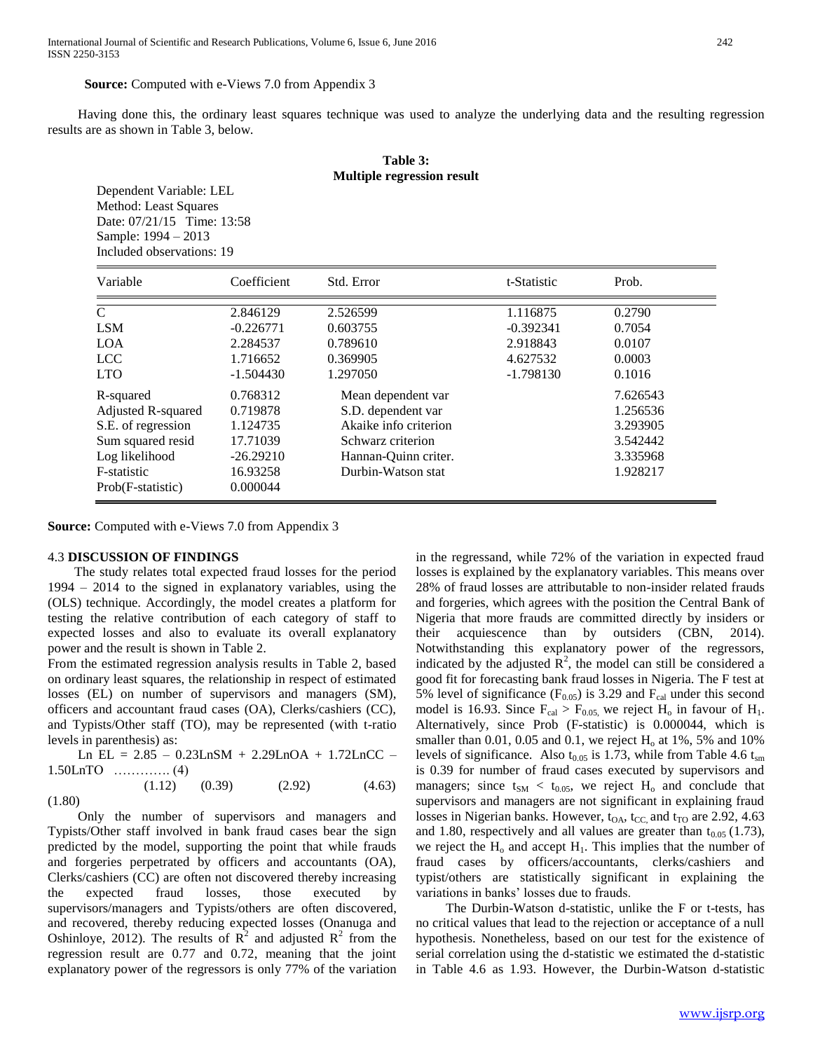Having done this, the ordinary least squares technique was used to analyze the underlying data and the resulting regression results are as shown in Table 3, below.

# **Table 3: Multiple regression result**

Dependent Variable: LEL Method: Least Squares Date: 07/21/15 Time: 13:58 Sample: 1994 – 2013 Included observations: 19

| Variable                                                                                                                                       | Coefficient                                                                                        | Std. Error                                                                                                                                       | t-Statistic                                     | Prob.                                                                          |
|------------------------------------------------------------------------------------------------------------------------------------------------|----------------------------------------------------------------------------------------------------|--------------------------------------------------------------------------------------------------------------------------------------------------|-------------------------------------------------|--------------------------------------------------------------------------------|
| $\mathsf{C}$<br><b>LSM</b><br><b>LOA</b><br><b>LCC</b>                                                                                         | 2.846129<br>$-0.226771$<br>2.284537<br>1.716652                                                    | 2.526599<br>0.603755<br>0.789610<br>0.369905                                                                                                     | 1.116875<br>$-0.392341$<br>2.918843<br>4.627532 | 0.2790<br>0.7054<br>0.0107<br>0.0003                                           |
| <b>LTO</b><br>R-squared<br>Adjusted R-squared<br>S.E. of regression<br>Sum squared resid<br>Log likelihood<br>F-statistic<br>Prob(F-statistic) | $-1.504430$<br>0.768312<br>0.719878<br>1.124735<br>17.71039<br>$-26.29210$<br>16.93258<br>0.000044 | 1.297050<br>Mean dependent var<br>S.D. dependent var<br>Akaike info criterion<br>Schwarz criterion<br>Hannan-Quinn criter.<br>Durbin-Watson stat | $-1.798130$                                     | 0.1016<br>7.626543<br>1.256536<br>3.293905<br>3.542442<br>3.335968<br>1.928217 |

**Source:** Computed with e-Views 7.0 from Appendix 3

#### 4.3 **DISCUSSION OF FINDINGS**

 The study relates total expected fraud losses for the period 1994 – 2014 to the signed in explanatory variables, using the (OLS) technique. Accordingly, the model creates a platform for testing the relative contribution of each category of staff to expected losses and also to evaluate its overall explanatory power and the result is shown in Table 2.

From the estimated regression analysis results in Table 2, based on ordinary least squares, the relationship in respect of estimated losses (EL) on number of supervisors and managers (SM), officers and accountant fraud cases (OA), Clerks/cashiers (CC), and Typists/Other staff (TO), may be represented (with t-ratio levels in parenthesis) as:

Ln EL =  $2.85 - 0.23$ LnSM +  $2.29$ LnOA +  $1.72$ LnCC – 1.50LnTO …………. (4)  $(1.12)$   $(0.39)$   $(2.92)$   $(4.63)$ 

(1.80)

 Only the number of supervisors and managers and Typists/Other staff involved in bank fraud cases bear the sign predicted by the model, supporting the point that while frauds and forgeries perpetrated by officers and accountants (OA), Clerks/cashiers (CC) are often not discovered thereby increasing the expected fraud losses, those executed by supervisors/managers and Typists/others are often discovered, and recovered, thereby reducing expected losses (Onanuga and Oshinloye, 2012). The results of  $\mathbb{R}^2$  and adjusted  $\mathbb{R}^2$  from the regression result are 0.77 and 0.72, meaning that the joint explanatory power of the regressors is only 77% of the variation

in the regressand, while 72% of the variation in expected fraud losses is explained by the explanatory variables. This means over 28% of fraud losses are attributable to non-insider related frauds and forgeries, which agrees with the position the Central Bank of Nigeria that more frauds are committed directly by insiders or their acquiescence than by outsiders (CBN, 2014). Notwithstanding this explanatory power of the regressors, indicated by the adjusted  $\mathbb{R}^2$ , the model can still be considered a good fit for forecasting bank fraud losses in Nigeria. The F test at 5% level of significance ( $F<sub>0.05</sub>$ ) is 3.29 and  $F<sub>cal</sub>$  under this second model is 16.93. Since  $F_{cal} > F_{0.05}$  we reject  $H_0$  in favour of  $H_1$ . Alternatively, since Prob (F-statistic) is 0.000044, which is smaller than  $0.01$ ,  $0.05$  and  $0.1$ , we reject  $H<sub>o</sub>$  at 1%, 5% and 10% levels of significance. Also  $t_{0.05}$  is 1.73, while from Table 4.6  $t_{\rm sm}$ is 0.39 for number of fraud cases executed by supervisors and managers; since  $t_{SM} < t_{0.05}$ , we reject  $H_0$  and conclude that supervisors and managers are not significant in explaining fraud losses in Nigerian banks. However,  $t_{OA}$ ,  $t_{CC}$  and  $t_{TO}$  are 2.92, 4.63 and 1.80, respectively and all values are greater than  $t_{0.05}$  (1.73), we reject the  $H_0$  and accept  $H_1$ . This implies that the number of fraud cases by officers/accountants, clerks/cashiers and typist/others are statistically significant in explaining the variations in banks' losses due to frauds.

 The Durbin-Watson d-statistic, unlike the F or t-tests, has no critical values that lead to the rejection or acceptance of a null hypothesis. Nonetheless, based on our test for the existence of serial correlation using the d-statistic we estimated the d-statistic in Table 4.6 as 1.93. However, the Durbin-Watson d-statistic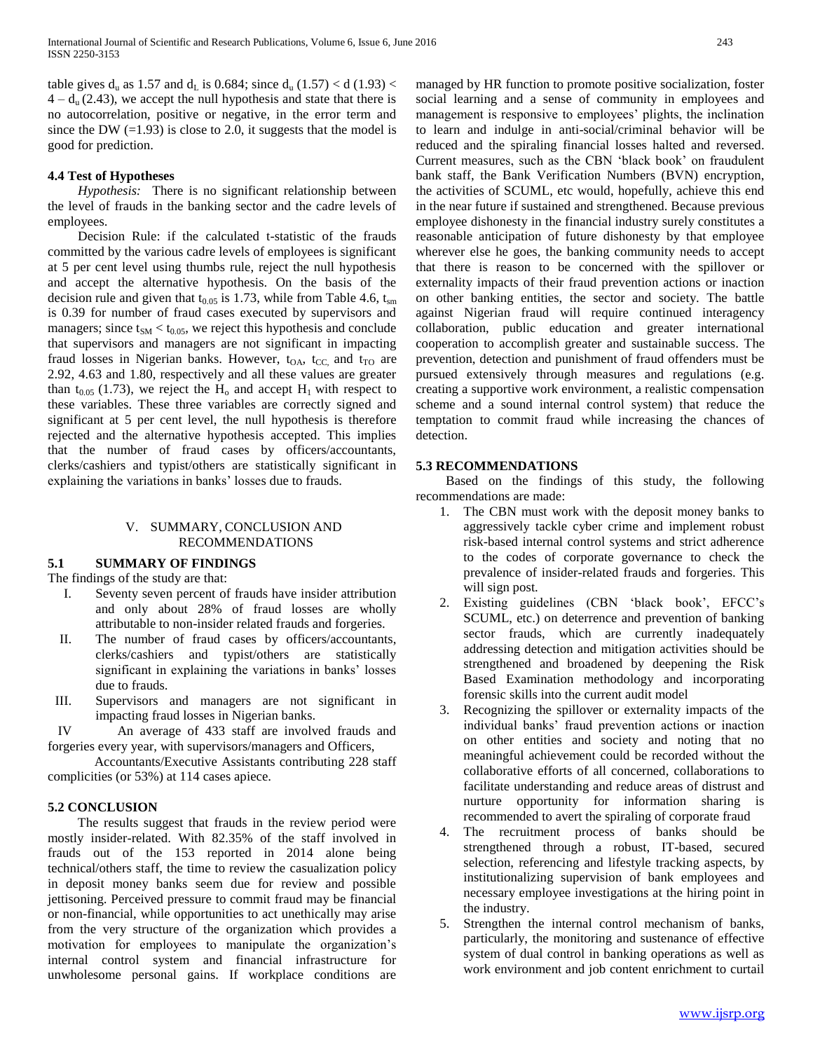table gives  $d_u$  as 1.57 and  $d_l$  is 0.684; since  $d_u$  (1.57) < d (1.93) <  $4 - d_u (2.43)$ , we accept the null hypothesis and state that there is no autocorrelation, positive or negative, in the error term and since the DW  $(=1.93)$  is close to 2.0, it suggests that the model is good for prediction.

## **4.4 Test of Hypotheses**

 *Hypothesis:* There is no significant relationship between the level of frauds in the banking sector and the cadre levels of employees.

 Decision Rule: if the calculated t-statistic of the frauds committed by the various cadre levels of employees is significant at 5 per cent level using thumbs rule, reject the null hypothesis and accept the alternative hypothesis. On the basis of the decision rule and given that  $t_{0.05}$  is 1.73, while from Table 4.6,  $t_{\rm sm}$ is 0.39 for number of fraud cases executed by supervisors and managers; since  $t_{SM} < t_{0.05}$ , we reject this hypothesis and conclude that supervisors and managers are not significant in impacting fraud losses in Nigerian banks. However,  $t_{OA}$ ,  $t_{CC}$  and  $t_{TO}$  are 2.92, 4.63 and 1.80, respectively and all these values are greater than  $t_{0.05}$  (1.73), we reject the H<sub>0</sub> and accept H<sub>1</sub> with respect to these variables. These three variables are correctly signed and significant at 5 per cent level, the null hypothesis is therefore rejected and the alternative hypothesis accepted. This implies that the number of fraud cases by officers/accountants, clerks/cashiers and typist/others are statistically significant in explaining the variations in banks' losses due to frauds.

## V. SUMMARY, CONCLUSION AND RECOMMENDATIONS

## **5.1 SUMMARY OF FINDINGS**

The findings of the study are that:

- I. Seventy seven percent of frauds have insider attribution and only about 28% of fraud losses are wholly attributable to non-insider related frauds and forgeries.
- II. The number of fraud cases by officers/accountants, clerks/cashiers and typist/others are statistically significant in explaining the variations in banks' losses due to frauds.
- III. Supervisors and managers are not significant in impacting fraud losses in Nigerian banks.

 IV An average of 433 staff are involved frauds and forgeries every year, with supervisors/managers and Officers,

 Accountants/Executive Assistants contributing 228 staff complicities (or 53%) at 114 cases apiece.

## **5.2 CONCLUSION**

 The results suggest that frauds in the review period were mostly insider-related. With 82.35% of the staff involved in frauds out of the 153 reported in 2014 alone being technical/others staff, the time to review the casualization policy in deposit money banks seem due for review and possible jettisoning. Perceived pressure to commit fraud may be financial or non-financial, while opportunities to act unethically may arise from the very structure of the organization which provides a motivation for employees to manipulate the organization's internal control system and financial infrastructure for unwholesome personal gains. If workplace conditions are managed by HR function to promote positive socialization, foster social learning and a sense of community in employees and management is responsive to employees' plights, the inclination to learn and indulge in anti-social/criminal behavior will be reduced and the spiraling financial losses halted and reversed. Current measures, such as the CBN 'black book' on fraudulent bank staff, the Bank Verification Numbers (BVN) encryption, the activities of SCUML, etc would, hopefully, achieve this end in the near future if sustained and strengthened. Because previous employee dishonesty in the financial industry surely constitutes a reasonable anticipation of future dishonesty by that employee wherever else he goes, the banking community needs to accept that there is reason to be concerned with the spillover or externality impacts of their fraud prevention actions or inaction on other banking entities, the sector and society. The battle against Nigerian fraud will require continued interagency collaboration, public education and greater international cooperation to accomplish greater and sustainable success. The prevention, detection and punishment of fraud offenders must be pursued extensively through measures and regulations (e.g. creating a supportive work environment, a realistic compensation scheme and a sound internal control system) that reduce the temptation to commit fraud while increasing the chances of detection.

## **5.3 RECOMMENDATIONS**

 Based on the findings of this study, the following recommendations are made:

- 1. The CBN must work with the deposit money banks to aggressively tackle cyber crime and implement robust risk-based internal control systems and strict adherence to the codes of corporate governance to check the prevalence of insider-related frauds and forgeries. This will sign post.
- 2. Existing guidelines (CBN 'black book', EFCC's SCUML, etc.) on deterrence and prevention of banking sector frauds, which are currently inadequately addressing detection and mitigation activities should be strengthened and broadened by deepening the Risk Based Examination methodology and incorporating forensic skills into the current audit model
- 3. Recognizing the spillover or externality impacts of the individual banks' fraud prevention actions or inaction on other entities and society and noting that no meaningful achievement could be recorded without the collaborative efforts of all concerned, collaborations to facilitate understanding and reduce areas of distrust and nurture opportunity for information sharing is recommended to avert the spiraling of corporate fraud
- 4. The recruitment process of banks should be strengthened through a robust, IT-based, secured selection, referencing and lifestyle tracking aspects, by institutionalizing supervision of bank employees and necessary employee investigations at the hiring point in the industry.
- 5. Strengthen the internal control mechanism of banks, particularly, the monitoring and sustenance of effective system of dual control in banking operations as well as work environment and job content enrichment to curtail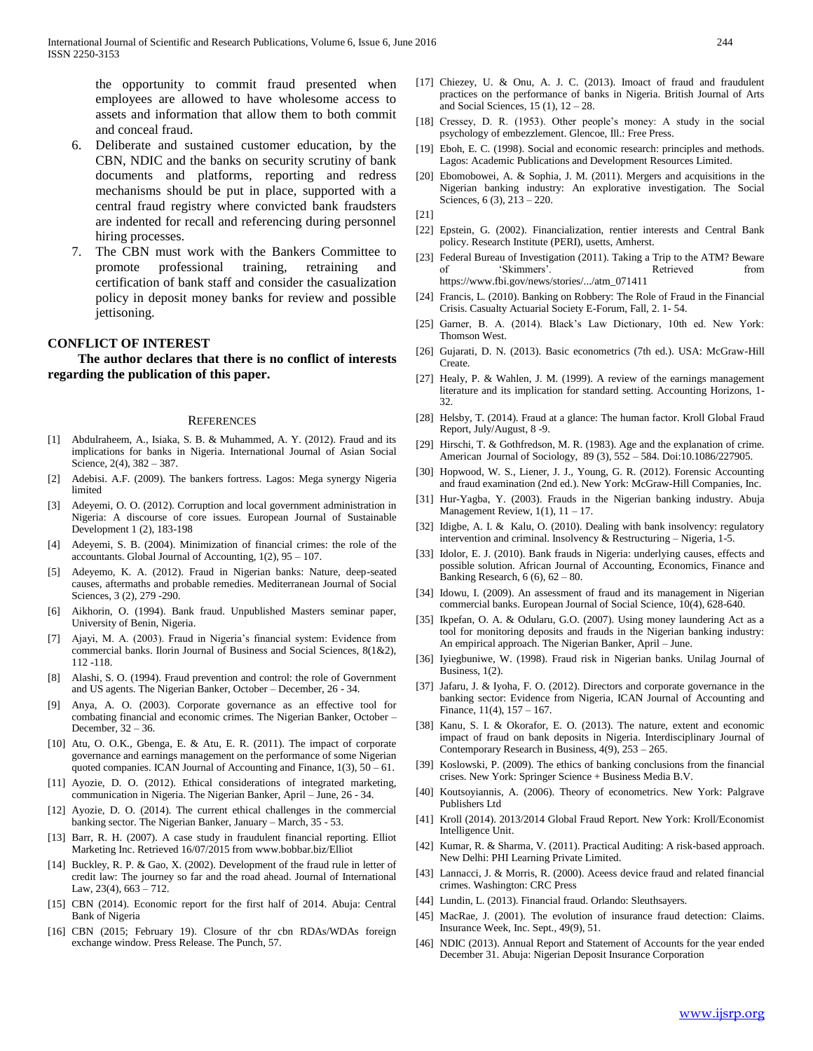the opportunity to commit fraud presented when employees are allowed to have wholesome access to assets and information that allow them to both commit and conceal fraud.

- 6. Deliberate and sustained customer education, by the CBN, NDIC and the banks on security scrutiny of bank documents and platforms, reporting and redress mechanisms should be put in place, supported with a central fraud registry where convicted bank fraudsters are indented for recall and referencing during personnel hiring processes.
- 7. The CBN must work with the Bankers Committee to promote professional training, retraining and certification of bank staff and consider the casualization policy in deposit money banks for review and possible jettisoning.

# **CONFLICT OF INTEREST**

 **The author declares that there is no conflict of interests regarding the publication of this paper.**

#### **REFERENCES**

- [1] Abdulraheem, A., Isiaka, S. B. & Muhammed, A. Y. (2012). Fraud and its implications for banks in Nigeria. International Journal of Asian Social Science, 2(4), 382 – 387.
- [2] Adebisi. A.F. (2009). The bankers fortress. Lagos: Mega synergy Nigeria limited
- [3] Adeyemi, O. O. (2012). Corruption and local government administration in Nigeria: A discourse of core issues. European Journal of Sustainable Development 1 (2), 183-198
- [4] Adeyemi, S. B. (2004). Minimization of financial crimes: the role of the accountants. Global Journal of Accounting, 1(2), 95 – 107.
- [5] Adeyemo, K. A. (2012). Fraud in Nigerian banks: Nature, deep-seated causes, aftermaths and probable remedies. Mediterranean Journal of Social Sciences, 3 (2), 279 -290.
- [6] Aikhorin, O. (1994). Bank fraud. Unpublished Masters seminar paper, University of Benin, Nigeria.
- [7] Ajayi, M. A. (2003). Fraud in Nigeria's financial system: Evidence from commercial banks. Ilorin Journal of Business and Social Sciences, 8(1&2), 112 -118.
- [8] Alashi, S. O. (1994). Fraud prevention and control: the role of Government and US agents. The Nigerian Banker, October – December, 26 - 34.
- [9] Anya, A. O. (2003). Corporate governance as an effective tool for combating financial and economic crimes. The Nigerian Banker, October – December, 32 – 36.
- [10] Atu, O. O.K., Gbenga, E. & Atu, E. R. (2011). The impact of corporate governance and earnings management on the performance of some Nigerian quoted companies. ICAN Journal of Accounting and Finance, 1(3), 50 – 61.
- [11] Ayozie, D. O. (2012). Ethical considerations of integrated marketing, communication in Nigeria. The Nigerian Banker, April – June, 26 - 34.
- [12] Ayozie, D. O. (2014). The current ethical challenges in the commercial banking sector. The Nigerian Banker, January – March, 35 - 53.
- [13] Barr, R. H. (2007). A case study in fraudulent financial reporting. Elliot Marketing Inc. Retrieved 16/07/2015 from www.bobbar.biz/Elliot
- [14] Buckley, R. P. & Gao, X. (2002). Development of the fraud rule in letter of credit law: The journey so far and the road ahead. Journal of International Law,  $23(4)$ ,  $663 - 712$ .
- [15] CBN (2014). Economic report for the first half of 2014. Abuja: Central Bank of Nigeria
- [16] CBN (2015; February 19). Closure of thr cbn RDAs/WDAs foreign exchange window. Press Release. The Punch, 57.
- [17] Chiezey, U. & Onu, A. J. C. (2013). Imoact of fraud and fraudulent practices on the performance of banks in Nigeria. British Journal of Arts and Social Sciences, 15 (1), 12 – 28.
- [18] Cressey, D. R. (1953). Other people's money: A study in the social psychology of embezzlement. Glencoe, Ill.: Free Press.
- [19] Eboh, E. C. (1998). Social and economic research: principles and methods. Lagos: Academic Publications and Development Resources Limited.
- [20] Ebomobowei, A. & Sophia, J. M. (2011). Mergers and acquisitions in the Nigerian banking industry: An explorative investigation. The Social Sciences, 6 (3), 213 – 220.

[21]

- [22] Epstein, G. (2002). Financialization, rentier interests and Central Bank policy. Research Institute (PERI), usetts, Amherst.
- [23] Federal Bureau of Investigation (2011). Taking a Trip to the ATM? Beware of 'Skimmers'. Retrieved from https://www.fbi.gov/news/stories/.../atm\_071411
- [24] Francis, L. (2010). Banking on Robbery: The Role of Fraud in the Financial Crisis. Casualty Actuarial Society E-Forum, Fall, 2. 1- 54.
- [25] Garner, B. A. (2014). Black's Law Dictionary, 10th ed. New York: Thomson West.
- [26] Gujarati, D. N. (2013). Basic econometrics (7th ed.). USA: McGraw-Hill Create.
- [27] Healy, P. & Wahlen, J. M. (1999). A review of the earnings management literature and its implication for standard setting. Accounting Horizons, 1- 32.
- [28] Helsby, T. (2014). Fraud at a glance: The human factor. Kroll Global Fraud Report, July/August, 8 -9.
- [29] Hirschi, T. & Gothfredson, M. R. (1983). Age and the explanation of crime. American Journal of Sociology, 89 (3), 552 – 584. Doi:10.1086/227905.
- [30] Hopwood, W. S., Liener, J. J., Young, G. R. (2012). Forensic Accounting and fraud examination (2nd ed.). New York: McGraw-Hill Companies, Inc.
- [31] Hur-Yagba, Y. (2003). Frauds in the Nigerian banking industry. Abuja Management Review,  $1(1)$ ,  $11 - 17$ .
- [32] Idigbe, A. I. & Kalu, O. (2010). Dealing with bank insolvency: regulatory intervention and criminal. Insolvency & Restructuring – Nigeria, 1-5.
- [33] Idolor, E. J. (2010). Bank frauds in Nigeria: underlying causes, effects and possible solution. African Journal of Accounting, Economics, Finance and Banking Research,  $6(6)$ ,  $62 - 80$ .
- [34] Idowu, I. (2009). An assessment of fraud and its management in Nigerian commercial banks. European Journal of Social Science, 10(4), 628-640.
- [35] Ikpefan, O. A. & Odularu, G.O. (2007). Using money laundering Act as a tool for monitoring deposits and frauds in the Nigerian banking industry: An empirical approach. The Nigerian Banker, April – June.
- [36] Iyiegbuniwe, W. (1998). Fraud risk in Nigerian banks. Unilag Journal of Business, 1(2).
- [37] Jafaru, J. & Iyoha, F. O. (2012). Directors and corporate governance in the banking sector: Evidence from Nigeria, ICAN Journal of Accounting and Finance, 11(4), 157 – 167.
- [38] Kanu, S. I. & Okorafor, E. O. (2013). The nature, extent and economic impact of fraud on bank deposits in Nigeria. Interdisciplinary Journal of Contemporary Research in Business, 4(9), 253 – 265.
- [39] Koslowski, P. (2009). The ethics of banking conclusions from the financial crises. New York: Springer Science + Business Media B.V.
- [40] Koutsoyiannis, A. (2006). Theory of econometrics. New York: Palgrave Publishers Ltd
- [41] Kroll (2014). 2013/2014 Global Fraud Report. New York: Kroll/Economist Intelligence Unit.
- [42] Kumar, R. & Sharma, V. (2011). Practical Auditing: A risk-based approach. New Delhi: PHI Learning Private Limited.
- [43] Lannacci, J. & Morris, R. (2000). Aceess device fraud and related financial crimes. Washington: CRC Press
- [44] Lundin, L. (2013). Financial fraud. Orlando: Sleuthsayers.
- [45] MacRae, J. (2001). The evolution of insurance fraud detection: Claims. Insurance Week, Inc. Sept., 49(9), 51.
- [46] NDIC (2013). Annual Report and Statement of Accounts for the year ended December 31. Abuja: Nigerian Deposit Insurance Corporation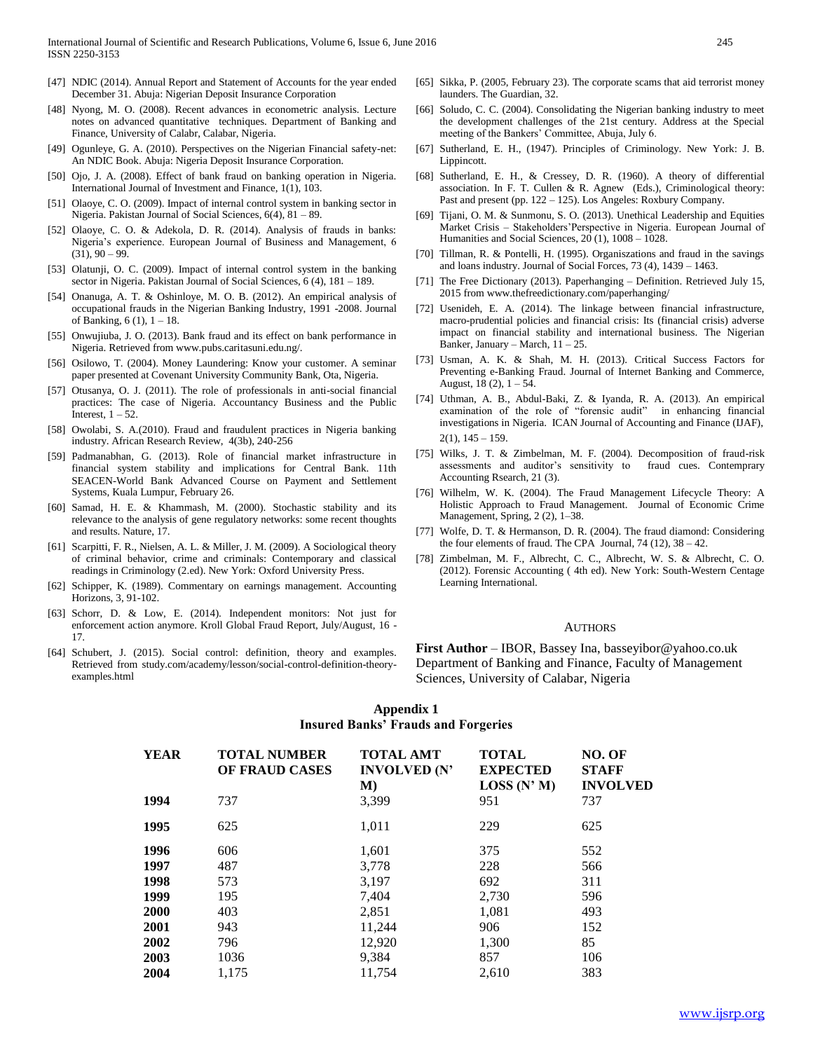- [47] NDIC (2014). Annual Report and Statement of Accounts for the year ended December 31. Abuja: Nigerian Deposit Insurance Corporation
- [48] Nyong, M. O. (2008). Recent advances in econometric analysis. Lecture notes on advanced quantitative techniques. Department of Banking and Finance, University of Calabr, Calabar, Nigeria.
- [49] Ogunleye, G. A. (2010). Perspectives on the Nigerian Financial safety-net: An NDIC Book. Abuja: Nigeria Deposit Insurance Corporation.
- [50] Ojo, J. A. (2008). Effect of bank fraud on banking operation in Nigeria. International Journal of Investment and Finance, 1(1), 103.
- [51] Olaoye, C. O. (2009). Impact of internal control system in banking sector in Nigeria. Pakistan Journal of Social Sciences, 6(4), 81 – 89.
- [52] Olaoye, C. O. & Adekola, D. R. (2014). Analysis of frauds in banks: Nigeria's experience. European Journal of Business and Management, 6  $(31), 90 - 99.$
- [53] Olatunji, O. C. (2009). Impact of internal control system in the banking sector in Nigeria. Pakistan Journal of Social Sciences, 6 (4), 181 – 189.
- [54] Onanuga, A. T. & Oshinloye, M. O. B. (2012). An empirical analysis of occupational frauds in the Nigerian Banking Industry, 1991 -2008. Journal of Banking, 6 (1), 1 – 18.
- [55] Onwujiuba, J. O. (2013). Bank fraud and its effect on bank performance in Nigeria. Retrieved from www.pubs.caritasuni.edu.ng/.
- [56] Osilowo, T. (2004). Money Laundering: Know your customer. A seminar paper presented at Covenant University Community Bank, Ota, Nigeria.
- [57] Otusanya, O. J. (2011). The role of professionals in anti-social financial practices: The case of Nigeria. Accountancy Business and the Public Interest,  $1 - 52$ .
- [58] Owolabi, S. A.(2010). Fraud and fraudulent practices in Nigeria banking industry. African Research Review, 4(3b), 240-256
- [59] Padmanabhan, G. (2013). Role of financial market infrastructure in financial system stability and implications for Central Bank. 11th SEACEN-World Bank Advanced Course on Payment and Settlement Systems, Kuala Lumpur, February 26.
- [60] Samad, H. E. & Khammash, M. (2000). Stochastic stability and its relevance to the analysis of gene regulatory networks: some recent thoughts and results. Nature, 17.
- [61] Scarpitti, F. R., Nielsen, A. L. & Miller, J. M. (2009). A Sociological theory of criminal behavior, crime and criminals: Contemporary and classical readings in Criminology (2.ed). New York: Oxford University Press.
- [62] Schipper, K. (1989). Commentary on earnings management. Accounting Horizons, 3, 91-102.
- [63] Schorr, D. & Low, E. (2014). Independent monitors: Not just for enforcement action anymore. Kroll Global Fraud Report, July/August, 16 - 17.
- [64] Schubert, J. (2015). Social control: definition, theory and examples. Retrieved from study.com/academy/lesson/social-control-definition-theoryexamples.html
- [65] Sikka, P. (2005, February 23). The corporate scams that aid terrorist money launders. The Guardian, 32.
- [66] Soludo, C. C. (2004). Consolidating the Nigerian banking industry to meet the development challenges of the 21st century. Address at the Special meeting of the Bankers' Committee, Abuja, July 6.
- [67] Sutherland, E. H., (1947). Principles of Criminology. New York: J. B. Lippincott.
- [68] Sutherland, E. H., & Cressey, D. R. (1960). A theory of differential association. In F. T. Cullen & R. Agnew (Eds.), Criminological theory: Past and present (pp. 122 – 125). Los Angeles: Roxbury Company.
- [69] Tijani, O. M. & Sunmonu, S. O. (2013). Unethical Leadership and Equities Market Crisis – Stakeholders'Perspective in Nigeria. European Journal of Humanities and Social Sciences, 20 (1), 1008 – 1028.
- [70] Tillman, R. & Pontelli, H. (1995). Organiszations and fraud in the savings and loans industry. Journal of Social Forces, 73 (4), 1439 – 1463.
- [71] The Free Dictionary (2013). Paperhanging Definition. Retrieved July 15, 2015 from www.thefreedictionary.com/paperhanging/
- [72] Usenideh, E. A. (2014). The linkage between financial infrastructure, macro-prudential policies and financial crisis: Its (financial crisis) adverse impact on financial stability and international business. The Nigerian Banker, January – March,  $11 - 25$ .
- [73] Usman, A. K. & Shah, M. H. (2013). Critical Success Factors for Preventing e-Banking Fraud. Journal of Internet Banking and Commerce, August,  $18(2)$ ,  $1 - 54$ .
- [74] Uthman, A. B., Abdul-Baki, Z. & Iyanda, R. A. (2013). An empirical examination of the role of "forensic audit" in enhancing financial investigations in Nigeria. ICAN Journal of Accounting and Finance (IJAF),  $2(1)$ ,  $145 - 159$ .
- [75] Wilks, J. T. & Zimbelman, M. F. (2004). Decomposition of fraud-risk assessments and auditor's sensitivity to fraud cues. Contemprary Accounting Rsearch, 21 (3).
- [76] Wilhelm, W. K. (2004). The Fraud Management Lifecycle Theory: A Holistic Approach to Fraud Management. Journal of Economic Crime Management, Spring, 2 (2), 1–38.
- [77] Wolfe, D. T. & Hermanson, D. R. (2004). The fraud diamond: Considering the four elements of fraud. The CPA Journal, 74 (12), 38 – 42.
- [78] Zimbelman, M. F., Albrecht, C. C., Albrecht, W. S. & Albrecht, C. O. (2012). Forensic Accounting ( 4th ed). New York: South-Western Centage Learning International.

#### **AUTHORS**

**First Author** – IBOR, Bassey Ina, basseyibor@yahoo.co.uk Department of Banking and Finance, Faculty of Management Sciences, University of Calabar, Nigeria

# **Appendix 1 Insured Banks' Frauds and Forgeries**

| <b>YEAR</b> | <b>TOTAL NUMBER</b><br><b>OF FRAUD CASES</b> | <b>TOTAL AMT</b><br><b>INVOLVED (N'</b><br>M) | <b>TOTAL</b><br><b>EXPECTED</b><br>LOSS(N'M) | NO. OF<br><b>STAFF</b><br><b>INVOLVED</b> |
|-------------|----------------------------------------------|-----------------------------------------------|----------------------------------------------|-------------------------------------------|
| 1994        | 737                                          | 3,399                                         | 951                                          | 737                                       |
| 1995        | 625                                          | 1,011                                         | 229                                          | 625                                       |
| 1996        | 606                                          | 1,601                                         | 375                                          | 552                                       |
| 1997        | 487                                          | 3,778                                         | 228                                          | 566                                       |
| 1998        | 573                                          | 3,197                                         | 692                                          | 311                                       |
| 1999        | 195                                          | 7,404                                         | 2,730                                        | 596                                       |
| 2000        | 403                                          | 2,851                                         | 1,081                                        | 493                                       |
| 2001        | 943                                          | 11,244                                        | 906                                          | 152                                       |
| 2002        | 796                                          | 12,920                                        | 1,300                                        | 85                                        |
| 2003        | 1036                                         | 9,384                                         | 857                                          | 106                                       |
| 2004        | 1.175                                        | 11,754                                        | 2.610                                        | 383                                       |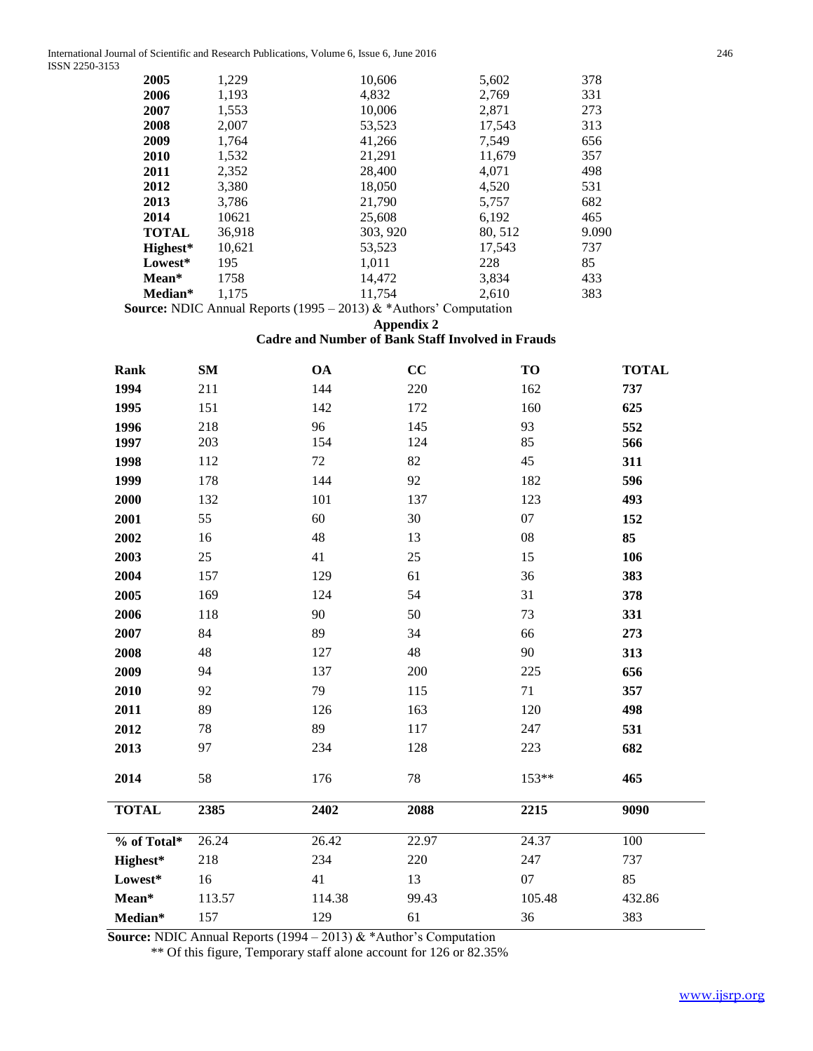International Journal of Scientific and Research Publications, Volume 6, Issue 6, June 2016 246 ISSN 2250-3153

| 2005         | 1,229  | 10,606   | 5,602   | 378   |
|--------------|--------|----------|---------|-------|
| 2006         | 1,193  | 4,832    | 2,769   | 331   |
| 2007         | 1,553  | 10,006   | 2,871   | 273   |
| 2008         | 2,007  | 53,523   | 17,543  | 313   |
| 2009         | 1,764  | 41,266   | 7,549   | 656   |
| 2010         | 1,532  | 21,291   | 11,679  | 357   |
| 2011         | 2,352  | 28,400   | 4,071   | 498   |
| 2012         | 3,380  | 18,050   | 4,520   | 531   |
| 2013         | 3,786  | 21,790   | 5,757   | 682   |
| 2014         | 10621  | 25,608   | 6,192   | 465   |
| <b>TOTAL</b> | 36,918 | 303, 920 | 80, 512 | 9.090 |
| Highest*     | 10,621 | 53,523   | 17,543  | 737   |
| Lowest*      | 195    | 1,011    | 228     | 85    |
| Mean*        | 1758   | 14,472   | 3,834   | 433   |
| Median*      | 1,175  | 11,754   | 2,610   | 383   |
|              |        |          |         |       |

 **Source:** NDIC Annual Reports (1995 – 2013) & \*Authors' Computation

**Appendix 2**

# **Cadre and Number of Bank Staff Involved in Frauds**

| Rank         | SM     | <b>OA</b> | CC    | TO     | <b>TOTAL</b> |
|--------------|--------|-----------|-------|--------|--------------|
| 1994         | 211    | 144       | 220   | 162    | 737          |
| 1995         | 151    | 142       | 172   | 160    | 625          |
| 1996         | 218    | 96        | 145   | 93     | 552          |
| 1997         | 203    | 154       | 124   | 85     | 566          |
| 1998         | 112    | 72        | 82    | 45     | 311          |
| 1999         | 178    | 144       | 92    | 182    | 596          |
| 2000         | 132    | 101       | 137   | 123    | 493          |
| 2001         | 55     | 60        | 30    | 07     | 152          |
| 2002         | 16     | 48        | 13    | 08     | 85           |
| 2003         | 25     | 41        | 25    | 15     | 106          |
| 2004         | 157    | 129       | 61    | 36     | 383          |
| 2005         | 169    | 124       | 54    | 31     | 378          |
| 2006         | 118    | 90        | 50    | 73     | 331          |
| 2007         | 84     | 89        | 34    | 66     | 273          |
| 2008         | 48     | 127       | 48    | 90     | 313          |
| 2009         | 94     | 137       | 200   | 225    | 656          |
| 2010         | 92     | 79        | 115   | 71     | 357          |
| 2011         | 89     | 126       | 163   | 120    | 498          |
| 2012         | 78     | 89        | 117   | 247    | 531          |
| 2013         | 97     | 234       | 128   | 223    | 682          |
| 2014         | 58     | 176       | 78    | 153**  | 465          |
| <b>TOTAL</b> | 2385   | 2402      | 2088  | 2215   | 9090         |
| % of Total*  | 26.24  | 26.42     | 22.97 | 24.37  | 100          |
| Highest*     | 218    | 234       | 220   | 247    | 737          |
| Lowest*      | 16     | 41        | 13    | 07     | 85           |
| $Mean*$      | 113.57 | 114.38    | 99.43 | 105.48 | 432.86       |
| Median*      | 157    | 129       | 61    | 36     | 383          |

 **Source:** NDIC Annual Reports (1994 – 2013) & \*Author's Computation

\*\* Of this figure, Temporary staff alone account for 126 or 82.35%